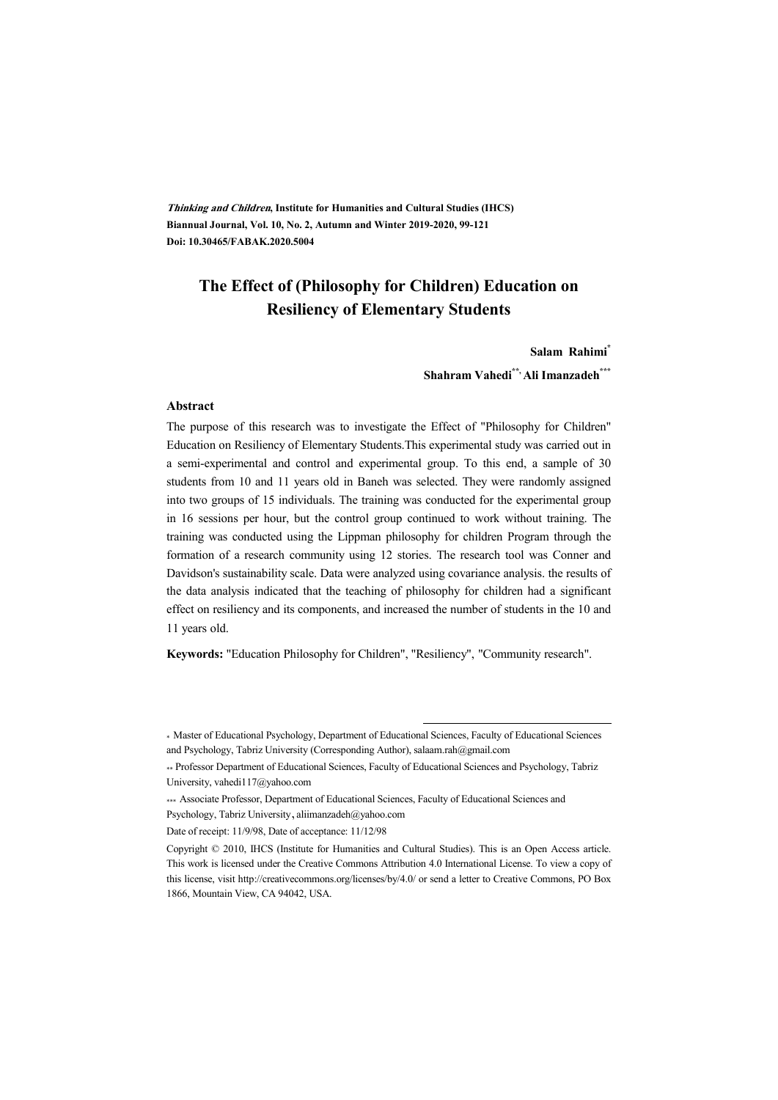**Thinking and Children, Institute for Humanities and Cultural Studies (IHCS) Biannual Journal, Vol. 10, No. 2, Autumn and Winter 2019-2020, 99-121 Doi: 10.30465/FABAK.2020.5004** 

#### **The Effect of (Philosophy for Children) Education on Resiliency of Elementary Students**

#### **Salam Rahimi\***

**Shahram Vahedi\*\*, Ali Imanzadeh\*\*\***

#### **Abstract**

The purpose of this research was to investigate the Effect of "Philosophy for Children" Education on Resiliency of Elementary Students.This experimental study was carried out in a semi-experimental and control and experimental group. To this end, a sample of 30 students from 10 and 11 years old in Baneh was selected. They were randomly assigned into two groups of 15 individuals. The training was conducted for the experimental group in 16 sessions per hour, but the control group continued to work without training. The training was conducted using the Lippman philosophy for children Program through the formation of a research community using 12 stories. The research tool was Conner and Davidson's sustainability scale. Data were analyzed using covariance analysis. the results of the data analysis indicated that the teaching of philosophy for children had a significant effect on resiliency and its components, and increased the number of students in the 10 and 11 years old.

**Keywords:** "Education Philosophy for Children", "Resiliency", "Community research".

:

<sup>\*</sup> Master of Educational Psychology, Department of Educational Sciences, Faculty of Educational Sciences and Psychology, Tabriz University (Corresponding Author), salaam.rah@gmail.com

<sup>\*\*</sup> Professor Department of Educational Sciences, Faculty of Educational Sciences and Psychology, Tabriz University, vahedi117@yahoo.com

<sup>\*\*\*</sup> Associate Professor, Department of Educational Sciences, Faculty of Educational Sciences and Psychology, Tabriz University, aliimanzadeh@yahoo.com

Date of receipt: 11/9/98, Date of acceptance: 11/12/98

Copyright © 2010, IHCS (Institute for Humanities and Cultural Studies). This is an Open Access article. This work is licensed under the Creative Commons Attribution 4.0 International License. To view a copy of this license, visit http://creativecommons.org/licenses/by/4.0/ or send a letter to Creative Commons, PO Box 1866, Mountain View, CA 94042, USA.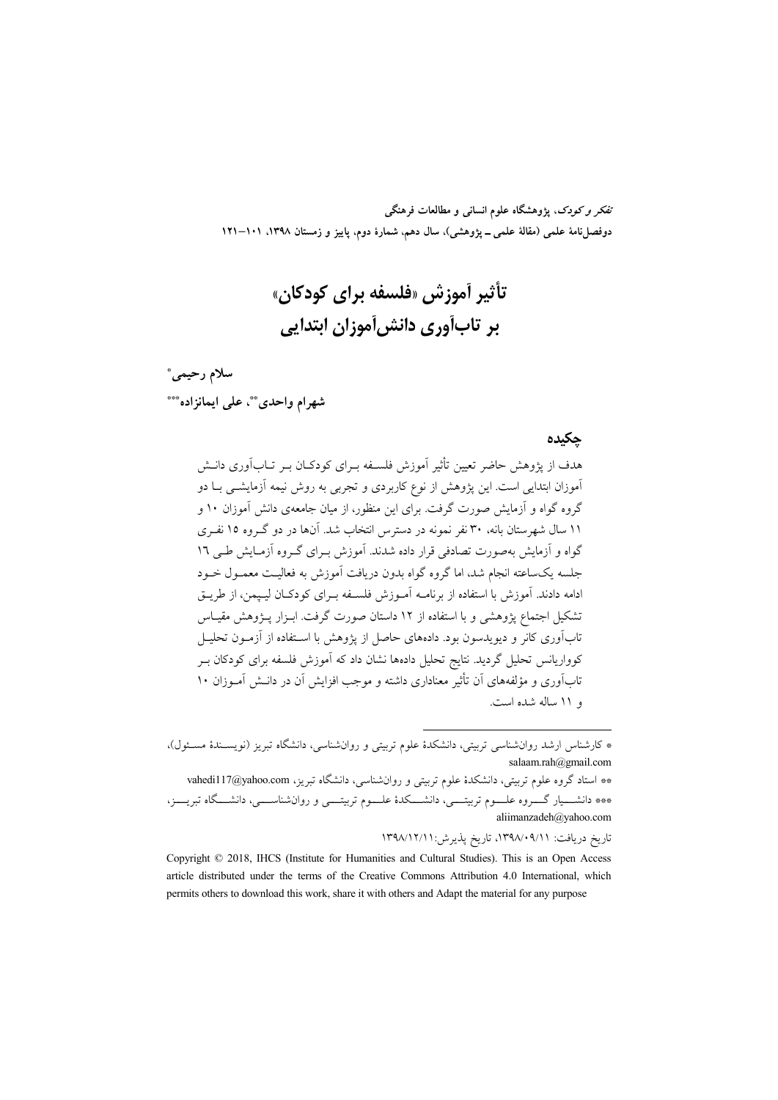تفکر و کودک، یژوهشگاه علوم انسانی و مطالعات فرهنگی دوفصلiامهٔ علمی (مقالهٔ علمی ــ پژوهشی)، سال دهم، شمارهٔ دوم، پاییز و زمستان ۱۳۹۸، ۱۰۱–۱۲۱

## تأثير أموزش «فلسفه براي كودكان» بر تابآوري دانش[موزان ابتدايي

# سلام رحيمي\*

شهرام واحدى \*\*، على ايمانزاده\*\*\*

#### حكىدە

هدف از پژوهش حاضر تعیین تأثیر آموزش فلسـفه بـرای کودکـان بـر تــابآوری دانــش آموزان ابتدایی است. این یژوهش از نوع کاربردی و تجربی به روش نیمه آزمایشــی بــا دو گروه گواه و آزمایش صورت گرفت. برای این منظور، از میان جامعهی دانش آموزان ۱۰ و ۱۱ سال شهرستان بانه، ۳۰ نفر نمونه در دسترس انتخاب شد. آنها در دو گـروه ۱۵ نفـری گواه و آزمایش بهصورت تصادفی قرار داده شدند. آموزش بـرای گـروه آزمـایش طـی ۱٦ جلسه یکساعته انجام شد، اما گروه گواه بدون دریافت آموزش به فعالیت معمـول خــود ادامه دادند. آموزش با استفاده از برنامــه آمــوزش فلســفه بــراي كودكــان ليــيمن، از طريــق تشکیل اجتماع پژوهشی و با استفاده از ۱۲ داستان صورت گرفت. ابـزار پـژوهش مقیـاس تابآوری کانر و دیویدسون بود. دادههای حاصل از پژوهش با اسـتفاده از آزمــون تحليــل کوواریانس تحلیل گردید. نتایج تحلیل دادهها نشان داد که آموزش فلسفه برای کودکان بـر تابآوری و مؤلفههای آن تأثیر معناداری داشته و موجب افزایش آن در دانــش آمــوزان ۱۰ و ١١ ساله شده است.

تاريخ دريافت: ۰۹/۰۹/۱۹/۱۰۹/۱۲ تاريخ پذيرش:۰۱۳۹۸/۱۲/۱۱

Copyright © 2018, IHCS (Institute for Humanities and Cultural Studies). This is an Open Access article distributed under the terms of the Creative Commons Attribution 4.0 International, which permits others to download this work, share it with others and Adapt the material for any purpose

<sup>\*</sup> کارشناس ارشد روانشناسی تربیتی، دانشکدهٔ علوم تربیتی و روانشناسی، دانشگاه تبریز (نویسـندهٔ مسـئول)، salaam.rah@gmail.com

<sup>\*\*</sup> استاد گروه علوم تربیتی، دانشکدهٔ علوم تربیتی و روانشناسی، دانشگاه تبریز، vahedi117@yahoo.com \*\*\* دانشـــیار گــــروه علــــوم تربیتــــی، دانشــــکدهٔ علــــوم تربیتــــی و روانشناســــی، دانشــــگاه تبریــــز، aliimanzadeh@yahoo.com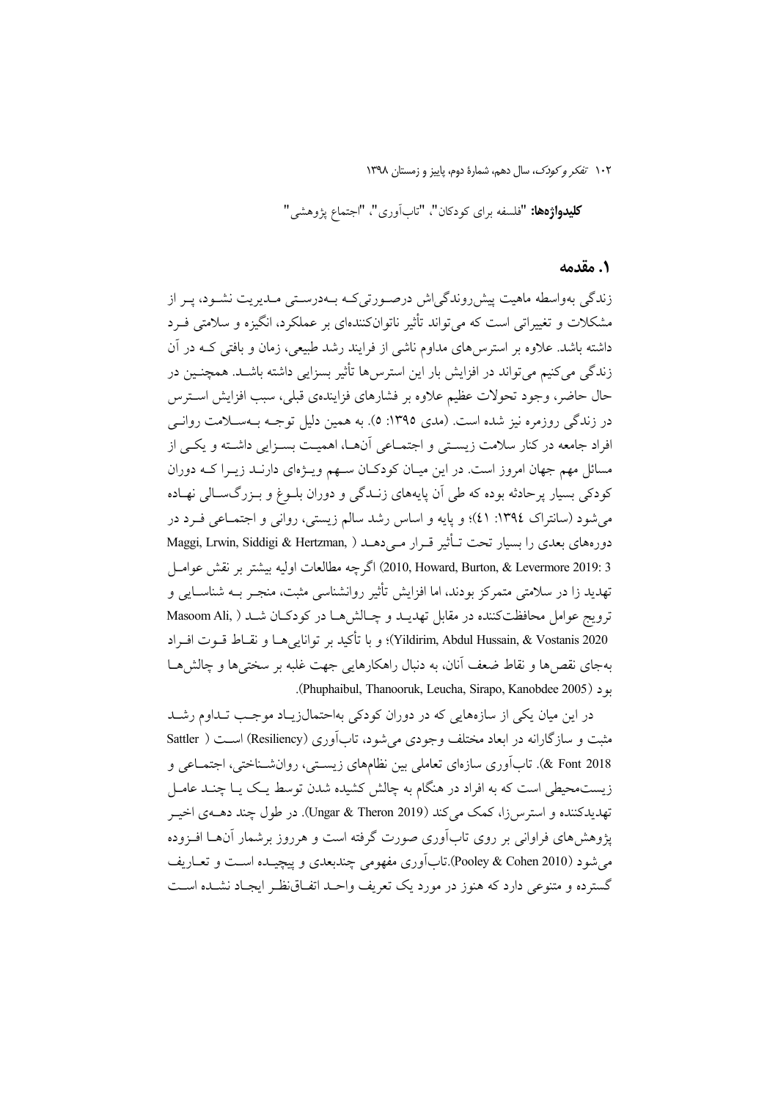**كليدواژهها: "**فلسفه براى كودكان"، "تابآورى"، "اجتماع پژوهشى"

#### ٠. مقدمه

زندگی بهواسطه ماهیت پیش روندگی اش درصورتی کـه بـهدرسـتی مـدیریت نشـود، پـر از مشکلات و تغییراتی است که می تواند تأثیر ناتوانکنندهای بر عملکرد، انگیزه و سلامتی فـرد داشته باشد. علاوه بر استرس۵ای مداوم ناشی از فرایند رشد طبیعی، زمان و بافتی کـه در آن زندگی میکنیم میتواند در افزایش بار این استرس۵ تأثیر بسزایی داشته باشـد. همچنـین در حال حاضر، وجود تحولات عظيم علاوه بر فشارهاي فزايندهي قبلي، سبب افزايش استرس در زندگی روزمره نیز شده است. (مدی ١٣٩٥: ٥). به همین دلیل توجـه بــهســلامت روانــی افراد جامعه در کنار سلامت زیستی و اجتمـاعی آنهـا، اهمیـت بسـزایی داشـته و یکـی از مسائل مهم جهان امروز است. در این میـان کودکـان سـهم ویـژهای دارنـد زیـرا کـه دوران کودکی بسیار پر حادثه بوده که طی آن پایههای زنــدگی و دوران بلــوغ و بــزرگـســالی نهــاده می شود (سانتراک ١٣٩٤: ٤١)؛ و پایه و اساس رشد سالم زیستی، روانی و اجتمـاعی فـرد در دورههای بعدی را بسیار تحت تـأثیر قـرار مـی دهــد ( Maggi, Lrwin, Siddigi & Hertzman, ) 2 :2010, Howard, Burton, & Levermore 2019) اگرچه مطالعات اوليه بيشتر بر نقش عوامـل تهدید زا در سلامتی متمرکز بودند، اما افزایش تأثیر روانشناسی مثبت، منجـر بــه شناســایی و ترويج عوامل محافظت كننده در مقابل تهديـد و چـالشهـا در كودكـان شـد ( Masoom Ali Yildirim, Abdul Hussain, & Vostanis 2020)؛ و با تأكيد بر توانايي هــا و نقــاط قــوت افــراد بهجای نقص ها و نقاط ضعف آنان، به دنبال راهکارهایی جهت غلبه بر سختی ها و چالش هــا . (Phuphaibul, Thanooruk, Leucha, Sirapo, Kanobdee 2005).

در این میان یکی از سازههایی که در دوران کودکی بهاحتمالزیاد موجب تـداوم رشـد مثبت و سازگارانه در ابعاد مختلف وجودی می شود، تاب آوری (Resiliency) است ( Sattler Eont 2018 &). تاب آوري سازماي تعاملي بين نظامهاي زيستي، روانشــناختي، اجتمــاعي و زیست.حیطی است که به افراد در هنگام به چالش کشیده شدن توسط یک یـا چنــد عامــل تهديدكننده و استرس(ا، كمك ميكند (Ungar & Theron 2019). در طول چند دهــــهي اخيـــر یژوهش های فراوانی بر روی تابآوری صورت گرفته است و هرروز برشمار آنهــا افــزوده مي شود (Pooley & Cohen 2010).تابأوري مفهومي چندبعدي و پيچيــده اســت و تعــاريف گسترده و متنوعی دارد که هنوز در مورد یک تعریف واحـد اتفـاق(نظـر ایجـاد نشـده اسـت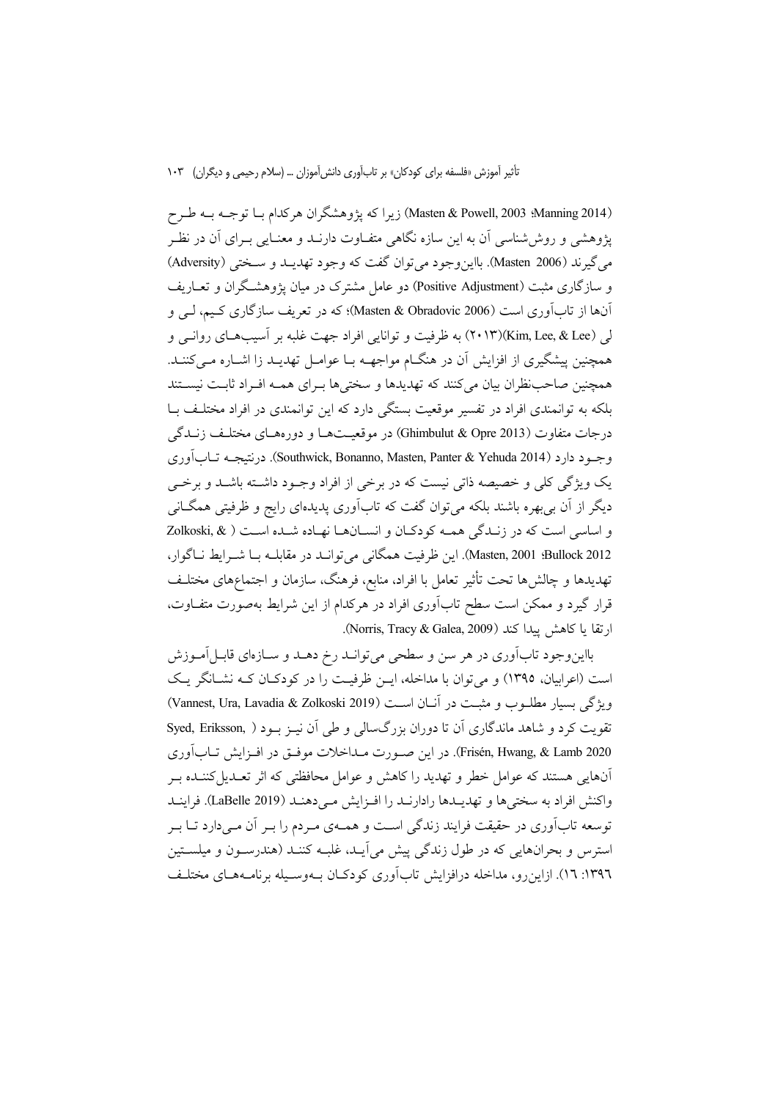(Masten & Powell, 2003 :Manning 2014) زیرا که پژوهشگران هرکدام بــا توجــه بــه طــرح یژوهشی و روش شناسی آن به این سازه نگاهی متفـاوت دارنــد و معنــایی بــرای آن در نظــر مي گيرند (Masten 2006). بااين وجود مي توان گفت كه وجود تهديــد و ســختي (Adversity) و سازگاری مثبت (Positive Adjustment) دو عامل مشترک در میان یژوهشگران و تعــاریف ۔<br>اَنہا از تاباوری است (Masten & Obradovic 2006)؛ که در تعریف سازگاری کیم، لیے و لی (Kim, Lee, & Lee)(۲۰۱۳) به ظرفیت و توانایی افراد جهت غلبه بر آسیبهای روانـی و همچنین پیشگیری از افزایش آن در هنگـام مواجهــه بــا عوامــل تهدیــد زا اشــاره مــیکننــد. همچنین صاحب نظران بیان میکنند که تهدیدها و سختیها بـرای همـه افـراد ثابـت نیســتند بلکه به توانمندی افراد در تفسیر موقعیت بستگی دارد که این توانمندی در افراد مختلـف بــا درجات متفاوت (Ghimbulut & Opre 2013) در موقعیتها و دورههای مختلف زنـدگی وجود دارد (Southwick, Bonanno, Masten, Panter & Yehuda 2014). درنتيجــه تــابآوري یک ویژگی کلی و خصیصه ذاتی نیست که در برخی از افراد وجـود داشــته باشــد و برخــی دیگر از اَن بی بھرہ باشند بلکه می توان گفت که تاباَوری پدیدہای رایج و ظرفیتی همگــانی و اساسي است كه در زنـدگي همـه كودكـان و انسـانهـا نهـاده شـده اسـت ( & Zolkoski, 8ullock 2012. Masten, 2001). اين ظرفيت همگاني مي توانـد در مقابلـه بـا شـرايط نـاگوار، تهديدها و چالش۵ها تحت تأثير تعامل با افراد، منابع، فرهنگ، سازمان و اجتماعهای مختلـف قرار گیرد و ممکن است سطح تابآوری افراد در هرکدام از این شرایط بهصورت متفـاوت، ارتقا با كاهش يبدأ كند (Norris, Tracy & Galea, 2009).

بااین وجود تابآوری در هر سن و سطحی می توانید رخ دهید و سیازمای قابیل آمیوزش است (اعرابیان، ۱۳۹۵) و می توان با مداخله، این ظرفیت را در کودکیان کیه نشیانگر یک ويؤكى بسبار مطلبوب و مثبت در آنيان است (Vannest, Ura, Lavadia & Zolkoski 2019) تقویت کرد و شاهد ماندگاری آن تا دوران بزرگسالی و طی آن نیبز بود ( Syed, Eriksson, Frisén, Hwang, & Lamb 2020). در این صورت مـداخلات موفــق در افــزایش تــابآوري آنهایی هستند که عوامل خطر و تهدید را کاهش و عوامل محافظتی که اثر تعـدیل کننـده بـر واكنش افراد به سختىها و تهديـدها رادارنـد را افـزايش مـىدهنـد (LaBelle 2019). فراينـد توسعه تابآوری در حقیقت فرایند زندگی است و همـهی مـردم را بـر آن مـیدارد تـا بـر استرس و بحرانهایی که در طول زندگی پیش می آیـد، غلبـه کننـد (هندرسـون و میلســتین ۱۳۹٦: ۱۲). ازاین رو، مداخله درافزایش تابآوری کودکـان بـهوسـیله برنامـههـای مختلـف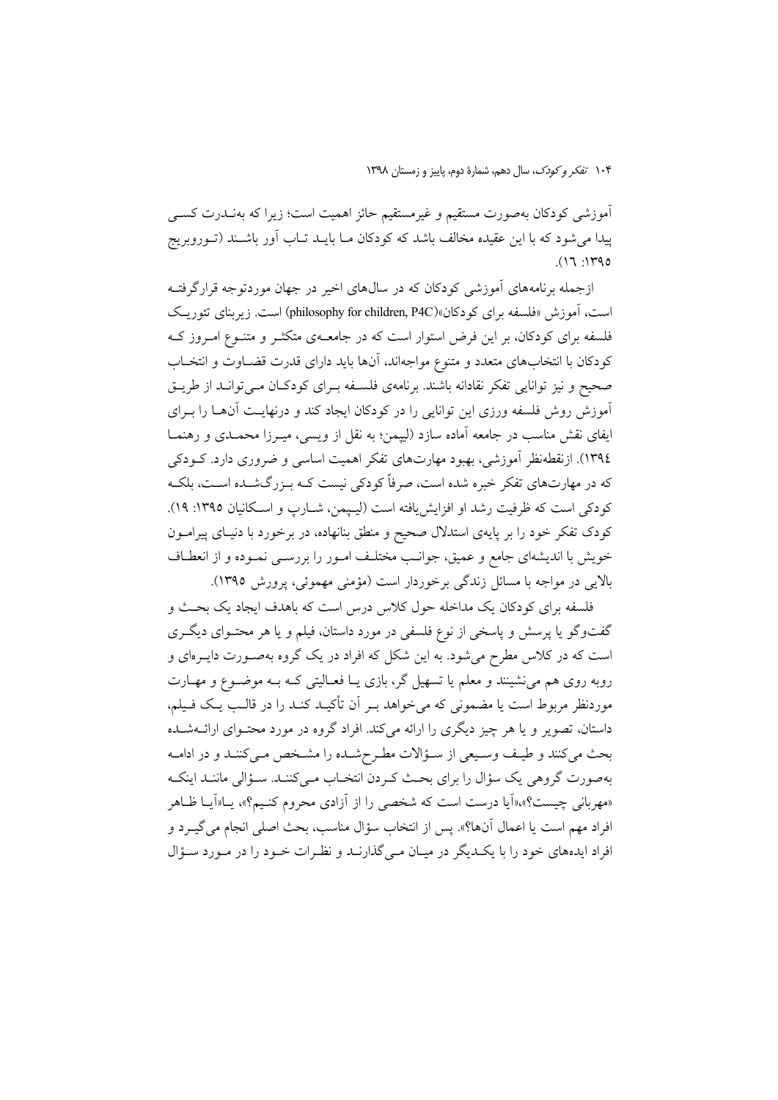۱۰۴ تفكر و كودك، سال دهم، شمارة دوم، ياييز و زمستان ١٣٩٨

اًموزشی کودکان بهصورت مستقیم و غیرمستقیم حائز اهمیت است؛ زیرا که بهنـدرت کســی پیدا می شود که با این عقیده مخالف باشد که کودکان مــا بایــد تــاب آور باشــند (تــوروبریج  $(17.140$ 

ازجمله برنامههای آموزشی کودکان که در سالهای اخیر در جهان موردتوجه قرارگرفتـه است، آموزش «فلسفه برای کودکان»(philosophy for children, P4C) است. زیربنای تئوریک فلسفه برای کودکان، بر این فرض استوار است که در جامعــهی متکثــر و متنــوع امــروز کــه كودكان با انتخابهاي متعدد و متنوع مواجهاند، آنها بايد داراي قدرت قضــاوت و انتخــاب صحیح و نیز توانایی تفکر نقادانه باشند. برنامهی فلسـفه بـرای کودکـان مـیتوانـد از طریـق آموزش روش فلسفه ورزى اين توانايي را در كودكان ايجاد كند و درنهايت آنها را بـراي ایفای نقش مناسب در جامعه آماده سازد (لییمن؛ به نقل از ویسی، میـرزا محمـدی و رهنمـا ١٣٩٤). ازنقطهنظر آموزشي، بهبود مهارتهاي تفكر اهميت اساسي و ضروري دارد. كــودكي که در مهارتهای تفکر خبره شده است، صرفاً کودکی نیست کـه بـزرگشـده اسـت، بلکـه كودكي است كه ظرفيت رشد او افزايش يافته است (ليهمن، شـارب و اسـكانيان ١٣٩٥: ١٩). کودک تفکر خود را بر پایهی استدلال صحیح و منطق بنانهاده، در برخورد با دنیـای پیرامــون خویش با اندیشهای جامع و عمیق، جوانب مختلف امـور را بررسـی نمـوده و از انعطـاف بالایی در مواجه با مسائل زندگی برخوردار است (مؤمنی مهموئی، پرورش ۱۳۹۵).

فلسفه برای کودکان یک مداخله حول کلاس درس است که باهدف ایجاد یک بحـث و گفتوگو یا پرسش و پاسخی از نوع فلسفی در مورد داستان، فیلم و یا هر محتـوای دیگـری است که در کلاس مطرح میشود. به این شکل که افراد در یک گروه بهصـورت دایــرهای و روبه روی هم می نشینند و معلم یا تسهیل گر، بازی یـا فعـالیتی کـه بـه موضـوع و مهـارت موردنظر مربوط است یا مضمونی که می خواهد بـر آن تأکیــد کنــد را در قالــب یــک فــیلم، داستان، تصویر و یا هر چیز دیگری را ارائه میکند. افراد گروه در مورد محتـوای ارائــهشــده بحث مي كنند و طيف وسيعي از سؤالات مطرحشده را مشخص مي كنند و در ادامـه بهصورت گروهی یک سؤال را برای بحث کردن انتخـاب مـی کننـد. سـؤالی ماننـد اینکـه «مهربانی چیست؟»،«اَیا درست است که شخصی را از اَزادی محروم کنـیم؟»، پــا«اَیــا ظــاهر افراد مهم است يا اعمال آنها؟». پس از انتخاب سؤال مناسب، بحث اصلي انجام مي گيــرد و افراد ایدههای خود را با یک دیگر در میـان مـی گذارنـد و نظـرات خـود را در مـورد سـؤال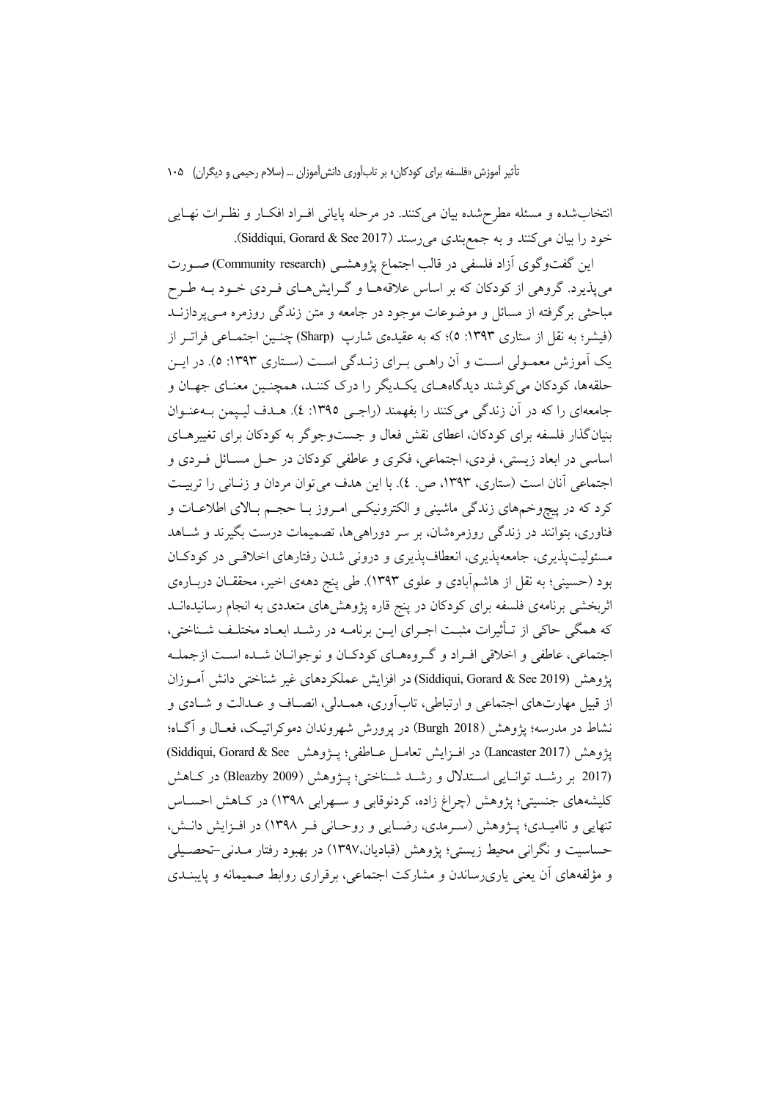انتخاب شده و مسئله مطرح شده بیان میکنند. در مرحله پایانی افـراد افکـار و نظـرات نهـایی خود را بيان مي كنند و به جمع بندي مي رسند (Siddiqui, Gorard & See 2017).

این گفتوگوی آزاد فلسفی در قالب اجتماع یژوهشبی (Community research)صورت می پذیرد. گروهی از کودکان که بر اساس علاقههــا و گــرایش هــای فــردی خــود بــه طــرح مباحثی برگرفته از مسائل و موضوعات موجود در جامعه و متن زندگی روزمره مـی پردازنــد (فیشر؛ به نقل از ستاری ۱۳۹۳: ٥)؛ که به عقیدهی شارپ (Sharp) چنبین اجتمــاعی فراتــر از يک آموزش معمـولي اسـت و آن راهـي بـراي زنـدگي اسـت (سـتاري ١٣٩٣: ٥). در ايـن حلقهها، کودکان می کوشند دیدگاههـای یکـدیگر را درک کننـد، همچنـین معنـای جهـان و جامعهای را که در آن زندگی می کنند را بفهمند (راجبی ۱۳۹۵: ٤). هـدف لیـیمن بـهعنـوان بنیانگذار فلسفه برای کودکان، اعطای نقش فعال و جستوجوگر به کودکان برای تغییرهای اساسي در ابعاد زيستي، فردي، اجتماعي، فكرى و عاطفي كودكان در حـل مسـائل فـردي و اجتماعی آنان است (ستاری، ۱۳۹۳، ص. ٤). با این هدف می توان مردان و زنـانی را تربیـت کرد که در پیچوخمهای زندگی ماشینی و الکترونیکی امـروز بـا حجـم بـالای اطلاعـات و فناوری، بتوانند در زندگی روزمرهشان، بر سر دوراهیها، تصمیمات درست بگیرند و شـاهد مسئولیتپذیری، جامعهپذیری، انعطافپذیری و درونی شدن رفتارهای اخلاقی در کودکان بود (حسینی؛ به نقل از هاشمآبادی و علوی ۱۳۹۳). طی پنج دههی اخیر، محققـان دربـارهی اثربخشی برنامهی فلسفه برای کودکان در پنج قاره پژوهش۵ای متعددی به انجام رسانیدهانــد كه همگي حاكي از تـأثيرات مثبـت اجـراي ايـن برنامـه در رشـد ابعـاد مختلـف شـناختي، اجتماعی، عاطفی و اخلاقی افیراد و گیروههای کودکیان و نوجوانیان شیده است ازجملیه يژوهش (Siddiqui, Gorard & See 2019) در افزايش عملكردهاي غير شناختي دانش آمـوزان از قبیل مهارتهای اجتماعی و ارتباطی، تابآوری، همـدلی، انصـاف و عـدالت و شـادی و نشاط در مدرسه؛ يژوهش (Burgh 2018) در يوورش شهروندان دموكراتيـك، فعــال و آگــاه؛ پژوهش (Lancaster 2017) در افــزايش تعامــل عــاطفى؛ پــژوهش Siddiqui, Gorard & See) (2017 بر رشد توانايي استدلال و رشد شناختي؛ پـژوهش (Bleazby 2009) در كـاهش کلیشههای جنسیتی؛ پژوهش (چراغ زاده، کردنوقابی و سـهرابی ۱۳۹۸) در کـاهش احسـاس تنهایی و ناامیـدی؛ پــژوهش (ســرمدی، رضــایی و روحــانی فــر ۱۳۹۸) در افــزایش دانــش، حساسیت و نگرانی محیط زیستی؛ یژوهش (قبادیان،۱۳۹۷) در بهبود رفتار مـدنی-تحصـیلی و مؤلفههای آن یعنی پاریرساندن و مشارکت اجتماعی، برقراری روابط صمیمانه و پایبنــدی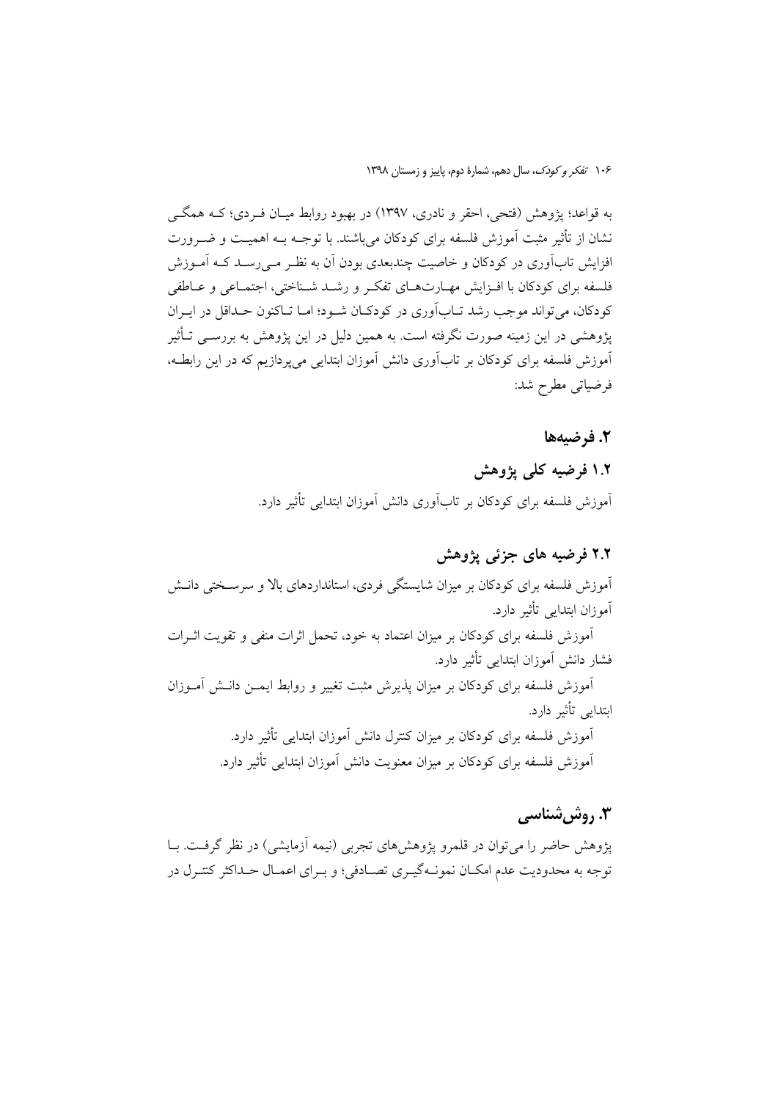به قواعد؛ پژوهش (فتحی، احقر و نادری، ۱۳۹۷) در بهبود روابط میـان فـردی؛ کــه همگــی نشان از تأثیر مثبت آموزش فلسفه برای کودکان می باشند. با توجــه بــه اهـمیــت و ضــرورت افزایش تابآوری در کودکان و خاصیت چندبعدی بودن اَن به نظـر مـی٫رسـد کـه اَمـوزش فلسفه برای کودکان با افـزایش مهـارتهـای تفکـر و رشـد شـناختی، اجتمـاعی و عـاطفی کودکان، می تواند موجب رشد تــابآوری در کودکــان شــود؛ امــا تــاکنون حــداقل در ايــران یژوهشی در این زمینه صورت نگرفته است. به همین دلیل در این یژوهش به بررســی تــأثیر آموزش فلسفه برای کودکان بر تابآوری دانش آموزان ابتدایی می پردازیم که در این رابطـه، فرضياتي مطرح شد:

#### 2. فرضيهها

## ۱.۲ فرضیه کلی یژوهش اَموزش فلسفه برای کودکان بر تاباَوری دانش اَموزان ابتدایی تأثیر دارد.

#### ۲.۲ فرضیه های جزئی پژوهش

.<br>آموزش فلسفه برای کودکان بر میزان شایستگی فردی، استانداردهای بالا و سرسـختی دانــش آموزان ابتدایی تأثیر دارد. آموزش فلسفه برای کودکان بر میزان اعتماد به خود، تحمل اثرات منفی و تقویت اثـرات

فشار دانش آموزان ابتدایی تأثیر دارد. آموزش فلسفه برای کودکان بر میزان پذیرش مثبت تغییر و روابط ایمــن دانــش آمــوزان ابتدایی تأثیر دارد.

> آموزش فلسفه برای کودکان بر میزان کنترل دانش آموزان ابتدایی تأثیر دارد. اًموزش فلسفه برای کودکان بر میزان معنویت دانش اَموزان ابتدای<sub>ی</sub> تأثیر دارد.

### ۳. روش شناسی

پژوهش حاضر را می توان در قلمرو پژوهشهای تجربی (نیمه أزمایشی) در نظر گرفت. بـا توجه به محدودیت عدم امکـان نمونــهگیــری تصــادفی؛ و بــرای اعمــال حــداکثر کنتــرل در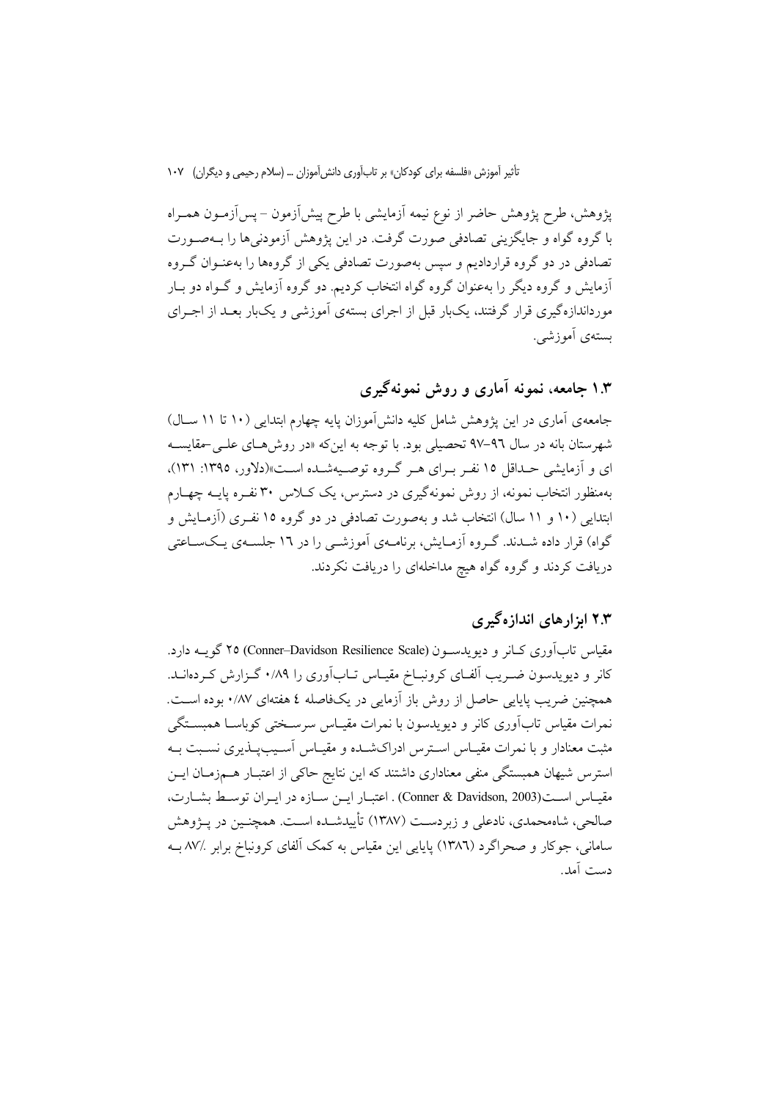يژوهش، طرح يژوهش حاضر از نوع نيمه آزمايشي با طرح پيشآزمون – پسآزمـون همـراه با گروه گواه و جايگزيني تصادفي صورت گرفت. در اين يژوهش آزمودني ها را بــهصــورت تصادفی در دو گروه قراردادیم و سپس بهصورت تصادفی یکی از گروهها را بهعنـوان گـروه آزمایش و گروه دیگر را بهعنوان گروه گواه انتخاب کردیم. دو گروه آزمایش و گــواه دو بــار مورداندازهگیری قرار گرفتند، یکبار قبل از اجرای بستهی آموزشی و یکبار بعـد از اجـرای بستهي آموزشي.

### ۱.۳ جامعه، نمونه آماری و روش نمونهگیری

جامعه ی آماری در این یژوهش شامل کلیه دانش آموزان پایه چهارم ابتدایی (۱۰ تا ۱۱ سـال) شهرستان بانه در سال ۹٦-۹۷ تحصیلی بود. با توجه به این که «در روشهای علـی -مقایسـه ای و آزمایشی حـداقل ۱۵ نفـر بـرای هـر گـروه توصـیهشـده اسـت»(دلاور، ۱۳۹۵: ۱۳۱)، بهمنظور انتخاب نمونه، از روش نمونهگیری در دسترس، یک کـلاس ۳۰ نفـره پایــه چهـارم ابتدایی (۱۰ و ۱۱ سال) انتخاب شد و بهصورت تصادفی در دو گروه ۱۵ نفـری (آزمـایش و گواه) قرار داده شــدند. گــروه آزمــایش، برنامــهی آموزشــی را در ۱۲ جلســهی یــکســاعتی دریافت کردند و گروه گواه هیچ مداخلهای را دریافت نکردند.

#### ۲.۳ ایزار های اندازه گیری

مقیاس تاب آوری کبانر و دیویدستون (Conner–Davidson Resilience Scale) ۲۵ گویته دارد. کانر و دیویدسون ضـریب آلفـای کرونبـاخ مقیـاس تـابآوری را ۰/۸۹ گـزارش کـردهانــد. همچنین ضریب پایایی حاصل از روش باز آزمایی در یکفاصله ٤ هفتهای ٠/٨٧ بوده است. نمرات مقیاس تابآوری کانر و دیویدسون با نمرات مقیـاس سرسـختی کوباسـا همبســتگی مثبت معنادار و با نمرات مقیـاس اسـترس ادراکشـده و مقیـاس اَسـیبپـذیری نسـبت بــه استرس شیهان همبستگی منفی معناداری داشتند که این نتایج حاکی از اعتبـار هــمزمـان ایــن مقيـاس اسـت(Conner & Davidson, 2003) . اعتبـار ايــن سـازه در ايــران توسـط بشـارت، صالحی، شاهمحمدی، نادعلی و زیردست (۱۳۸۷) تأییدشـده اسـت. همچنـین در پــژوهش سامانی، جوکار و صحراگرد (۱۳۸٦) پایایی این مقیاس به کمک آلفای کرونباخ برابر ۸۷/. بـه دست آمد.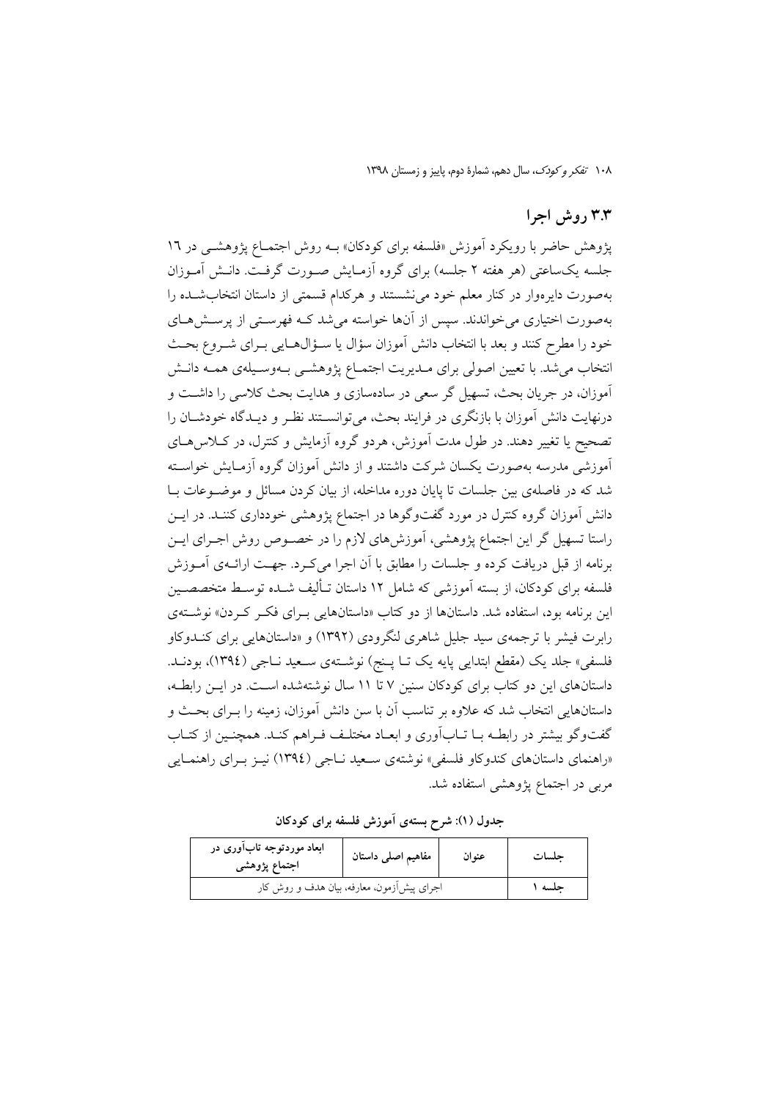١٠٨ تفكر وكودك، سال دهم، شمارة دوم، ياييز و زمستان ١٣٩٨

#### ۳.۳ روش اجرا

پژوهش حاضر با رویکرد آموزش «فلسفه برای کودکان» بــه روش اجتمــاع پژوهشــی در ۱۲ جلسه یکساعتی (هر هفته ۲ جلسه) برای گروه اَزمـایش صـورت گرفـت. دانـش اَمـوزان بهصورت دایرهوار در کنار معلم خود می نشستند و هرکدام قسمتی از داستان انتخاب شده را بهصورت اختیاری می خواندند. سپس از آنها خواسته می شد کـه فهرسـتی از پرســش۱صـای خود را مطرح کنند و بعد با انتخاب دانش آموزان سؤال یا سـؤال۵ـایی بـرای شــروع بحـث انتخاب می شد. با تعیین اصولی برای مـدیریت اجتمـاع یژوهشــی بـهوسـیلهی همـه دانــش آموزان، در جريان بحث، تسهيل گر سعي در سادهسازي و هدايت بحث كلاسي را داشــت و درنهایت دانش آموزان با بازنگری در فرایند بحث، می توانسـتند نظـر و دیـدگاه خودشـان را تصحیح یا تغییر دهند. در طول مدت آموزش، هردو گروه آزمایش و کنترل، در کـلاس۵هـای آموزشی مدرسه بهصورت یکسان شرکت داشتند و از دانش آموزان گروه آزمـایش خواسـته شد که در فاصلهی بین جلسات تا پایان دوره مداخله، از بیان کردن مسائل و موضـوعات بـا دانش آموزان گروه کنترل در مورد گفتوگوها در اجتماع پژوهشی خودداری کننـد. در ایــن راستا تسهیل گر این اجتماع پژوهشی، آموزشهای لازم را در خصـوص روش اجـرای ایــن برنامه از قبل دریافت کرده و جلسات را مطابق با آن اجرا میکرد. جهت ارائـهی آمـوزش فلسفه برای کودکان، از بسته آموزشی که شامل ۱۲ داستان تـألیف شــده توسـط متخصصــین این برنامه بود، استفاده شد. داستانها از دو کتاب «داستانهایی بـرای فکـر کـردن» نوشــتهی رابرت فیشر با ترجمه ی سید جلیل شاهری لنگرودی (۱۳۹۲) و «داستانهایی برای کنــدوکاو فلسفي» جلد يک (مقطع ابتدايي پايه يک تـا پـنج) نوشـتهي سـعيد نـاجي (١٣٩٤)، بودنـد. داستانهای این دو کتاب برای کودکان سنین ۷ تا ۱۱ سال نوشتهشده است. در ایـن رابطـه، داستانهایی انتخاب شد که علاوه بر تناسب آن با سن دانش آموزان، زمینه را بـرای بحـث و گفتوگو بیشتر در رابطـه بــا تــاب[وری و ابعــاد مختلـف فــراهـم کنــد. همچنــین از کتــاب «راهنمای داستانهای کندوکاو فلسفی» نوشتهی سـعید نــاجی (١٣٩٤) نیــز بــرای راهنمــایی مربی در اجتماع پژوهشی استفاده شد.

جدول (١): شرح بستهى آموزش فلسفه براى كودكان

| ابعاد موردتوجه تابآوری در<br>اجتماع پژوهشی | مفاهيم اصلى داستان | عنوان | حلسات |
|--------------------------------------------|--------------------|-------|-------|
| اجرای پیش[زمون، معارفه، بیان هدف و روش کار | حلسه ۱             |       |       |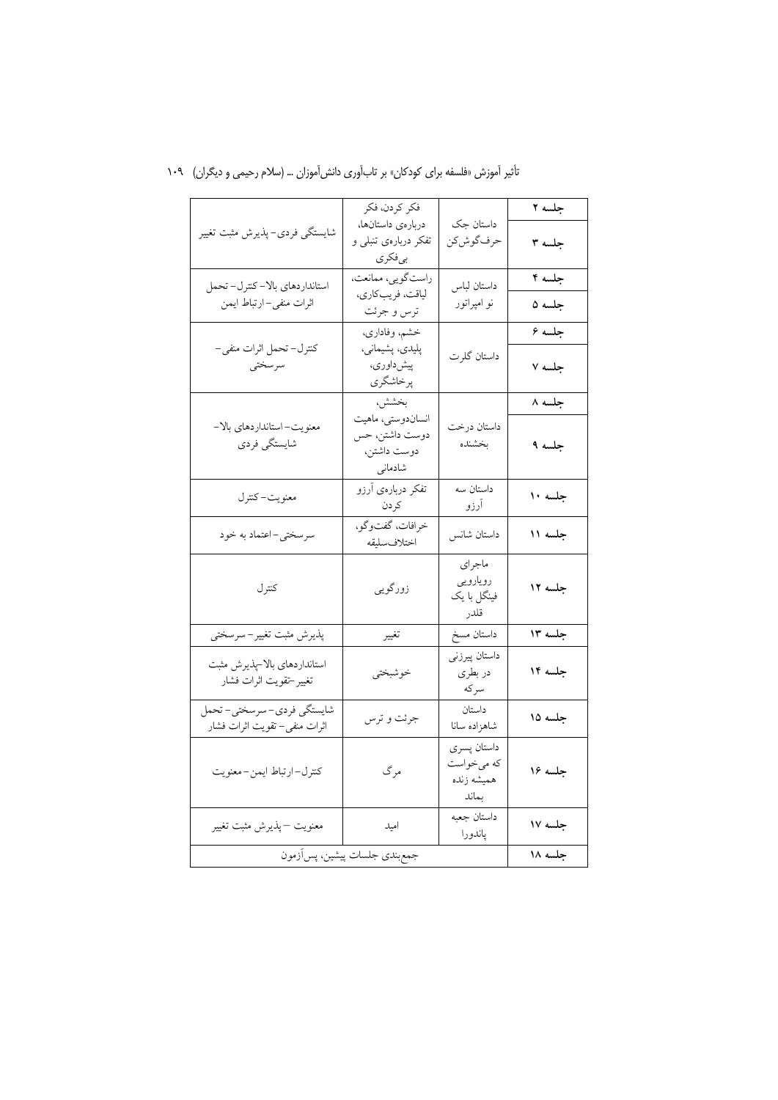|                                                          | فكر كردن، فكر                                                 |                                                  | جلسه ۲  |
|----------------------------------------------------------|---------------------------------------------------------------|--------------------------------------------------|---------|
| شايستگى فردى-پذيرش مثبت تغيير                            | دربارهى داستانها،<br>تفکر دربارهی تنبلی و<br>بىفكرى           | داستان جک<br>حرف گوش كن                          | جلسه ۳  |
| استانداردهاي بالا-كترل-تحمل                              | راستگويي، ممانعت،                                             | داستان لباس                                      | جلسه ۴  |
| اثرات منفى-ارتباط ايمن                                   | لياقت، فريبكاري،<br>ترس و جرئت                                | نو امپراتور                                      | جلسه ۵  |
|                                                          | خشم، وفاداري،                                                 |                                                  | جلسه ۶  |
| كنترل- تحمل اثرات منفي-<br>سرسختي                        | پلیدي، پشیماني،<br>پیشداوری،<br>پرخاشگري                      | داستان گلرت                                      | جلسه ۷  |
|                                                          | بخشش،                                                         |                                                  | جلسه ۸  |
| معنويت-استانداردهاي بالا-<br>شايستگي فردي                | انساندوستي، ماهيت<br>دوست داشتن، حس<br>دوست داشتن،<br>شادمانی | داستان درخت<br>بخشنده                            | جلسه ۹  |
| معنويت-كترل                                              | تفکر دربارهی آرزو<br>كردن                                     | <mark>داستان</mark> سه<br>آرزو                   | جلسه ۱۰ |
| سرسختي-اعتماد به خود                                     | خرافات، گفتوگو،<br>اختلاف سليقه                               | داستان شانس                                      | جلسه ۱۱ |
| كترل                                                     | زورگویی                                                       | ماجراي<br>رويارويي<br>فینگل با یک<br>قلدر        | جلسه ۱۲ |
| پذیرش مثبت تغییر–سرسختی                                  | تغيير                                                         | داستان مسخ                                       | جلسه ۱۳ |
| استانداردهاي بالا-پذيرش مثبت<br>تغيير–تقويت اثرات فشار   | خوشبختي                                                       | داستان پیرزنی<br>در بطری<br>سركه                 | جلسه ۱۴ |
| شايستگي فردي-سرسختي-تحمل<br>اثرات منفى– تقويت اثرات فشار | جرئت و ترس                                                    | داستان<br>شاهزاده سانا                           | جلسه ۱۵ |
| كترل-ارتباط ايمن-معنويت                                  | مرگ                                                           | داستان پسري<br>که میخواست<br>هميشه زنده<br>بماند | جلسه ۱۶ |
| معنويت —پذيرش مثبت تغيير                                 | اميد                                                          | داستان جعبه<br>پاندورا                           | جلسه ۱۷ |
|                                                          | جمع بندى جلسات پيشين، پس اَزمون                               |                                                  | جلسه ۱۸ |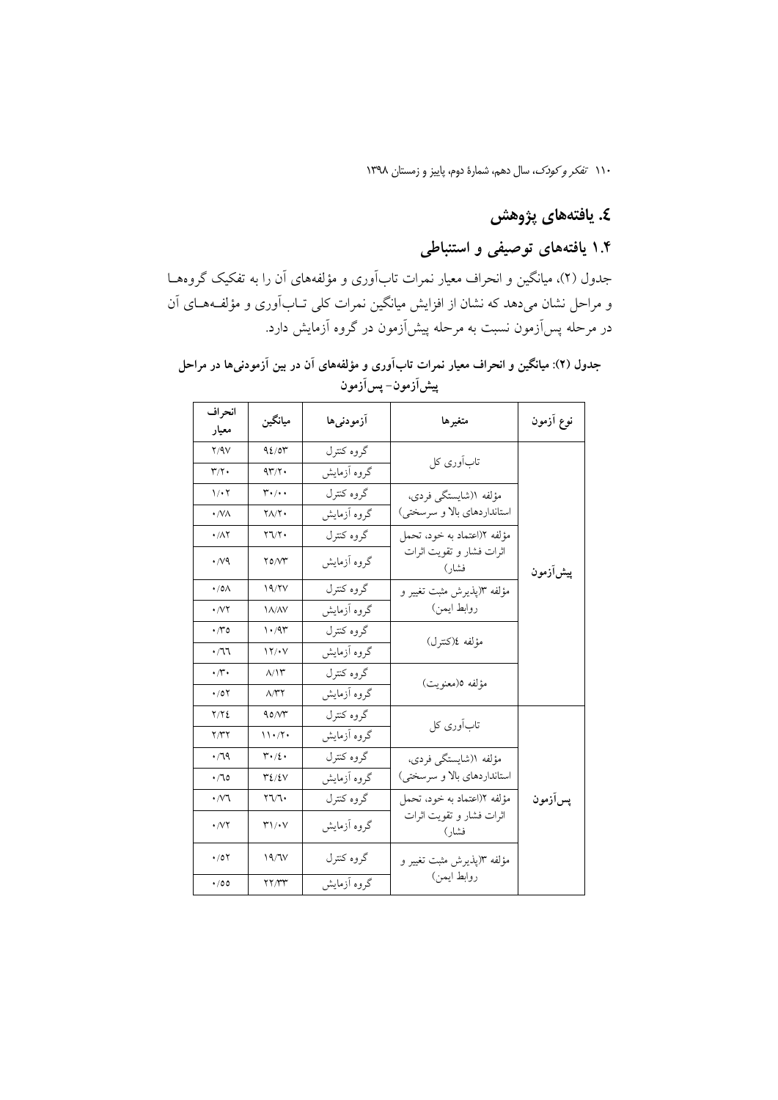### ٤. يافتەهاي پژوهش

### ۱.۴ یافتههای توصیفی و استنباطی

جدول (۲)، میانگین و انحراف معیار نمرات تابآوری و مؤلفههای آن را به تفکیک گروههـا و مراحل نشان میدهد که نشان از افزایش میانگین نمرات کلی تـابآوری و مؤلفـههـای آن در مرحله پس[زمون نسبت به مرحله پیش[زمون در گروه آزمایش دارد.

| انحراف<br>معيار                 | ميانگين                                            | أزمودنىها   | متغيرها                           | نوع آزمون |
|---------------------------------|----------------------------------------------------|-------------|-----------------------------------|-----------|
| Y/9V                            | 92/04                                              | گروه کنترل  | تابآوری کل                        |           |
| $\mathbf{r}/\mathbf{r}$ .       | $4\mathsf{r}/\mathsf{r}$ .                         | گروه آزمایش |                                   |           |
| $\mathcal{N} \cdot \mathcal{N}$ | $\mathsf{r}\cdot\mathsf{A}\cdot\mathsf{A}$         | گروه کنترل  | مؤلفه ا(شايستگى فردى،             |           |
| $\cdot$ /VA                     | $Y\Lambda/Y$                                       | گروه آزمایش | استانداردهاي بالا و سرسختي)       |           |
| $\cdot/\lambda$ ٢               | $\gamma \gamma \gamma$                             | گروه کنترل  | مؤلفه ٢(اعتماد به خود، تحمل       |           |
| $\cdot$ //9                     | $\gamma$                                           | گروه آزمایش | اثرات فشار و تقويت اثرات<br>فشار) | پیشآزمون  |
| $\cdot$ /0 $\wedge$             | 19/YV                                              | گروه کنترل  | مؤلفه ١(پذيرش مثبت تغيير و        |           |
|                                 | <b>IA/AV</b>                                       | گروه آزمایش | روابط ايمن)                       |           |
| $\cdot \pi$                     | $\cdot$ /9٣                                        | گروه کنترل  | مؤلفه ٤(كنترل)                    |           |
| $\cdot$ /11                     | 17/4V                                              | گروه آزمایش |                                   |           |
| $\cdot \pi \cdot$               | $\Lambda/\Upsilon$                                 | گروه کنترل  | مؤلفه ٥(معنويت)                   |           |
| $\cdot$ /07                     | $\wedge$ $\uparrow$ $\uparrow$                     | گروه آزمایش |                                   |           |
| Y/Y                             | 90/N                                               | گروه کنترل  | تابآوری کل                        |           |
| Y/YY                            | $11 \cdot 7 \cdot$                                 | گروه آزمایش |                                   |           |
| $\cdot$ /79                     | $\mathsf{r}\cdot\mathsf{r}\cdot\mathsf{r}$         | گروه کنترل  | مؤلفه ا(شايستگى فردى،             |           |
| $\cdot$ / 10                    | 32/27                                              | گروه آزمایش | استانداردهای بالا و سرسختی)       |           |
| $\cdot$ / $\vee$ ٦              | $\mathbf{Y}\mathbf{V}\mathbf{V}$                   | گروه کنترل  | مؤلفه ٢(اعتماد به خود، تحمل       | پسآزمون   |
| $\cdot$ / $\vee$ $\cdot$        | $\mathsf{r}\setminus\mathsf{r}\setminus\mathsf{r}$ | گروه آزمایش | اثرات فشار و تقویت اثرات<br>فشار) |           |
| $\cdot$ /07                     | 19/7V                                              | گروه کنترل  | مؤلفه ٣(پذیرش مثبت تغییر و        |           |
| $\cdot$ /00                     | YY/YY                                              | گروه آزمایش | روابط ايمن)                       |           |

جدول (۲): میانگین و انحراف معیار نمرات تابآوری و مؤلفههای آن در بین آزمودنیها در مراحل پیشآزمون–پسآزمون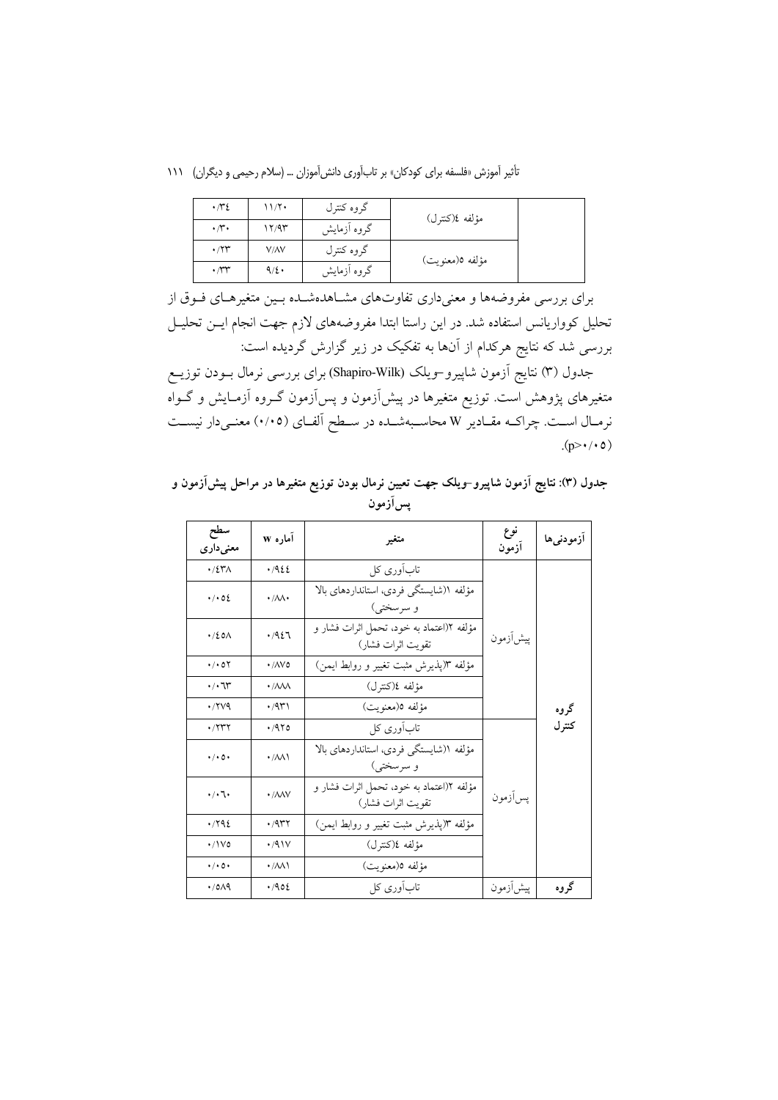تأثیر آموزش «فلسفه برای کودکان» بر تاب آوری دانش آموزان ... (سلام رحیمی و دیگران) ١١١

| $\cdot \pi$                  | 11/7    | گروه کنترل  | مؤلفه ٤(كنترل)  |  |
|------------------------------|---------|-------------|-----------------|--|
| $\cdot \pi \cdot$            | 17/97   | گروه آزمایش |                 |  |
| $\cdot$ / $\Upsilon\Upsilon$ | V/AV    | گروه کنترل  | مؤلفه ٥(معنويت) |  |
| $\cdot \pi$                  | $9/2$ . | گروه آزمایش |                 |  |

برای بررسی مفروضهها و معنیداری تفاوتهای مشـاهدهشـده بـین متغیرهـای فـوق از تحلیل کوواریانس استفاده شد. در این راستا ابتدا مفروضههای لازم جهت انجام ایـن تحلیـل بررسی شد که نتایج هرکدام از آنها به تفکیک در زیر گزارش گردیده است:

جدول (۳) نتایج آزمون شاپیرو-ویلک (Shapiro-Wilk) برای بررسی نرمال بــودن توزیــع متغیرهای پژوهش است. توزیع متغیرها در پیش[زمون و پس[زمون گــروه آزمــایش و گــواه نرمـال اسـت. چراكـه مقـادير W محاسـبهشـده در سـطح آلفـاي (٠/٠٥) معنـىدار نيسـت  $(p>\cdot/\cdot o)$ 

جدول (۳): نتایج آزمون شاپیرو-ویلک جهت تعیین نرمال بودن توزیع متغیرها در مراحل پیشآزمون و پسآزمون

| سطح<br>معنىدارى                | آماره w                        | متغير                                                         | نوع<br>آزمون | ازمودنى ها |
|--------------------------------|--------------------------------|---------------------------------------------------------------|--------------|------------|
| $\cdot$ /2۳ $\wedge$           | .1922                          | تابآوری کل                                                    |              |            |
| .402                           | $\cdot/\lambda\lambda$         | مؤلفه ((شايستگى فردى، استانداردهاى بالا<br>و سرسختي)          |              |            |
| $\cdot$ /20 $\wedge$           | .7927                          | مؤلفه ٢(اعتماد به خود، تحمل اثرات فشار و<br>تقويت اثرات فشار) | ييشأزمون     |            |
| $\cdot$ / $\cdot$ 0 $\Upsilon$ | $\cdot$ /AV0                   | مؤلفه ٣(پذيرش مثبت تغيير و روابط ايمن)                        |              |            |
| $\cdot$ / $\cdot$ 7            | $\cdot$ / $\land\land\land$    | مؤلفه ٤(كنترل)                                                |              |            |
| .749                           | $\cdot$ /9۳۱                   | مؤلفه ٥(معنويت)                                               |              | گروه       |
| $\cdot$ / $\gamma$ $\gamma$    | .470                           | تابآوری کل                                                    |              | کتر ل      |
| $\cdot$ / $\cdot$ 0 $\cdot$    | $\cdot$ / $\wedge\wedge\wedge$ | مؤلفه ((شايستگى فردى، استانداردهاى بالا<br>و سرسختي)          |              |            |
| $\cdot/\cdot$ 1.               | $\cdot$ / $\land\land\lor$     | مؤلفه ٢(اعتماد به خود، تحمل اثرات فشار و<br>تقويت اثرات فشار) | يس آزمون     |            |
| .792                           | $\cdot$ /9 $\tau$ ۲            | مؤلفه ٣(يذيرش مثبت تغيير و روابط ايمن)                        |              |            |
| $\cdot$ /\Vo                   | .41V                           | مؤلفه ٤(كنترل)                                                |              |            |
| $\cdot$ / $\cdot$ 0 $\cdot$    | $\cdot$ / $\wedge\wedge\wedge$ | مؤلفه ٥(معنويت)                                               |              |            |
| $\cdot$ /0 $\wedge$ 9          | .402                           | تابآوری کل                                                    | ييشأزمون     | گروه       |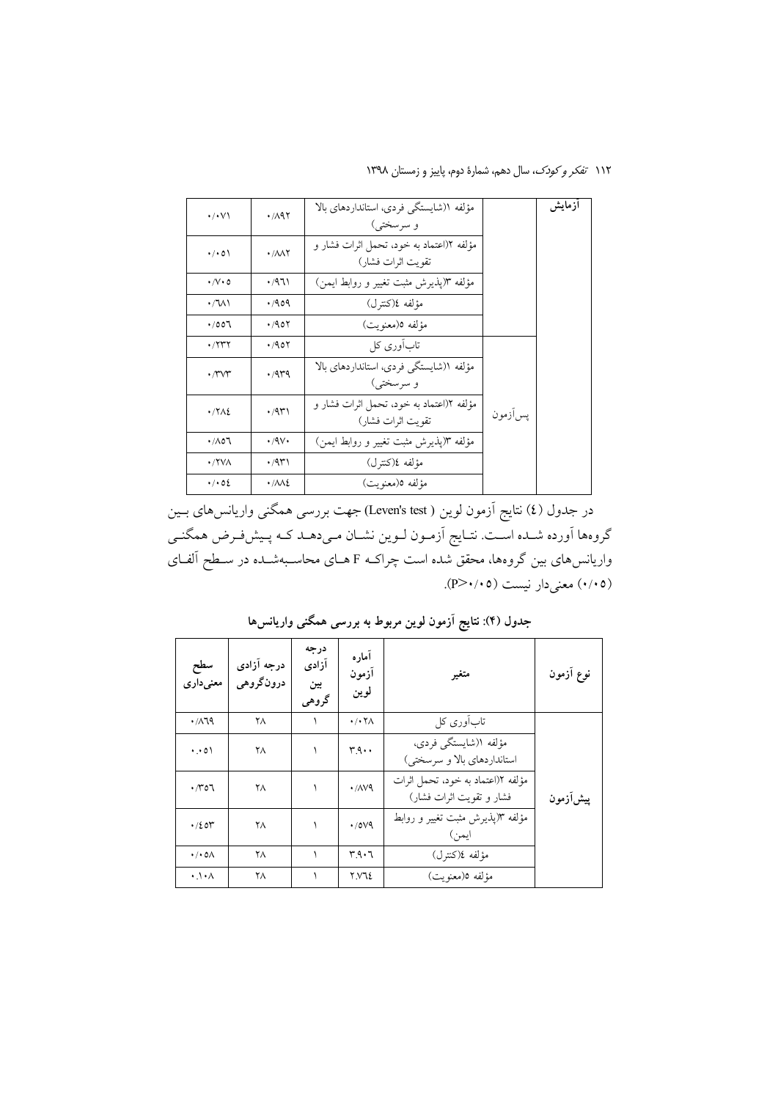۱۱۲ *تفکر و کودک*، سال دهم، شمارهٔ دوم، پاییز و زمستان ۱۳۹۸

| مؤلفه ۱(شایستگی فردی، استانداردهای بالا<br>.741<br>$\cdot/\cdot\vee$<br>و سرسختی)<br>مؤلفه ١(اعتماد به خود، تحمل اثرات فشار و<br>$\cdot$ / $\cdot$ 0)<br>$\cdot$ / $\wedge\wedge\Upsilon$<br>تقويت اثرات فشار)<br>مؤلفه ٣(پذيرش مثبت تغيير و روابط ايمن)<br>۰/۹٦۱<br>$\cdot$ / $\vee$ $\cdot$ 0<br>مؤلفه ٤(كنترل)<br>$\cdot$ M)<br>.409<br>مؤلفه ٥(معنويت)<br>.401<br>.7007<br>تابآوری کل<br>$\cdot$ /۲۳۲<br>.401<br>مؤلفه ((شايستگى فردى، استانداردهاى بالا<br>.449<br>$\cdot$ rvr<br>و سرسختي)<br>مؤلَّفه ١(اعتماد به خود، تحمل اثرات فشار و<br>$\cdot$ /9۳۱<br>$\cdot$ / $\lambda$<br>پس آزمون<br>تقويت اثرات فشار)<br>مؤلفه ٣(پذيرش مثبت تغيير و روابط ايمن)<br>$\cdot$ /9 $\vee$<br>$\cdot$ /107<br>مؤلفه ٤(كنترل)<br>۱۳۳۱.<br>$\cdot$ / YVA<br>$\cdot$ / $\cdot$ 02<br>مؤلفه ٥(معنويت)<br>$\cdot/\lambda\lambda$ |  |  |        |
|------------------------------------------------------------------------------------------------------------------------------------------------------------------------------------------------------------------------------------------------------------------------------------------------------------------------------------------------------------------------------------------------------------------------------------------------------------------------------------------------------------------------------------------------------------------------------------------------------------------------------------------------------------------------------------------------------------------------------------------------------------------------------------------------------------------------|--|--|--------|
|                                                                                                                                                                                                                                                                                                                                                                                                                                                                                                                                                                                                                                                                                                                                                                                                                        |  |  | أزمايش |
|                                                                                                                                                                                                                                                                                                                                                                                                                                                                                                                                                                                                                                                                                                                                                                                                                        |  |  |        |
|                                                                                                                                                                                                                                                                                                                                                                                                                                                                                                                                                                                                                                                                                                                                                                                                                        |  |  |        |
|                                                                                                                                                                                                                                                                                                                                                                                                                                                                                                                                                                                                                                                                                                                                                                                                                        |  |  |        |
|                                                                                                                                                                                                                                                                                                                                                                                                                                                                                                                                                                                                                                                                                                                                                                                                                        |  |  |        |
|                                                                                                                                                                                                                                                                                                                                                                                                                                                                                                                                                                                                                                                                                                                                                                                                                        |  |  |        |
|                                                                                                                                                                                                                                                                                                                                                                                                                                                                                                                                                                                                                                                                                                                                                                                                                        |  |  |        |
|                                                                                                                                                                                                                                                                                                                                                                                                                                                                                                                                                                                                                                                                                                                                                                                                                        |  |  |        |
|                                                                                                                                                                                                                                                                                                                                                                                                                                                                                                                                                                                                                                                                                                                                                                                                                        |  |  |        |
|                                                                                                                                                                                                                                                                                                                                                                                                                                                                                                                                                                                                                                                                                                                                                                                                                        |  |  |        |
|                                                                                                                                                                                                                                                                                                                                                                                                                                                                                                                                                                                                                                                                                                                                                                                                                        |  |  |        |

در جدول (٤) نتايج آزمون لوين ( Leven's test) جهت بررسي همگني واريانس،هاي بــين گروهها أورده شـده اسـت. نتـايج أزمـون لـوين نشـان مـيدهـد كـه پـيشفـرض همگنـي واریانس های بین گروهها، محقق شده است چراکـه F هــای محاسـبهشــده در ســطح آلفــای (۰/۰۵) معنی دار نیست (۴/۰/۰۵).

| سطح<br>معنىدارى              | درجه آزادی<br>درونگروهي | درجه<br>آزادى<br>بين<br>گروهي | أماره<br>ازمون<br>لوين                | متغير                                                         | نوع أزمون |
|------------------------------|-------------------------|-------------------------------|---------------------------------------|---------------------------------------------------------------|-----------|
| $\cdot$ /119                 | ۲۸                      |                               | $\cdot$ / $\cdot$ $\uparrow$ $\wedge$ | تابآوری کل                                                    |           |
| $\cdot \cdot \circ \wedge$   | ۲۸                      |                               | $r_{.9}$ .                            | مؤلفه ا(شايستگى فردى،<br>استانداردهای بالا و سرسختی)          |           |
| ۳٥٦.                         | ۲۸                      |                               | $\cdot$ / $\sqrt{9}$                  | مؤلفه ٢(اعتماد به خود، تحمل اثرات<br>فشار و تقويت اثرات فشار) | ييشiزمون  |
| $\cdot$ /201                 | ۲۸                      |                               | $\cdot$ /0 $\vee$ 9                   | مؤلفه ٣(پذیرش مثبت تغییر و روابط<br>ايمن)                     |           |
| $\cdot$ / $\cdot$ 0 $\wedge$ | ۲۸                      |                               | ۳۹۰٦                                  | مؤلفه ٤(كنترل)                                                |           |
| $\cdot \cdot \wedge$         | ٢٨                      |                               | Y.V.12                                | مؤلفه ٥(معنويت)                                               |           |

جدول (۴): نتایج آزمون لوین مربوط به بررسی همگنی واریانس۵ا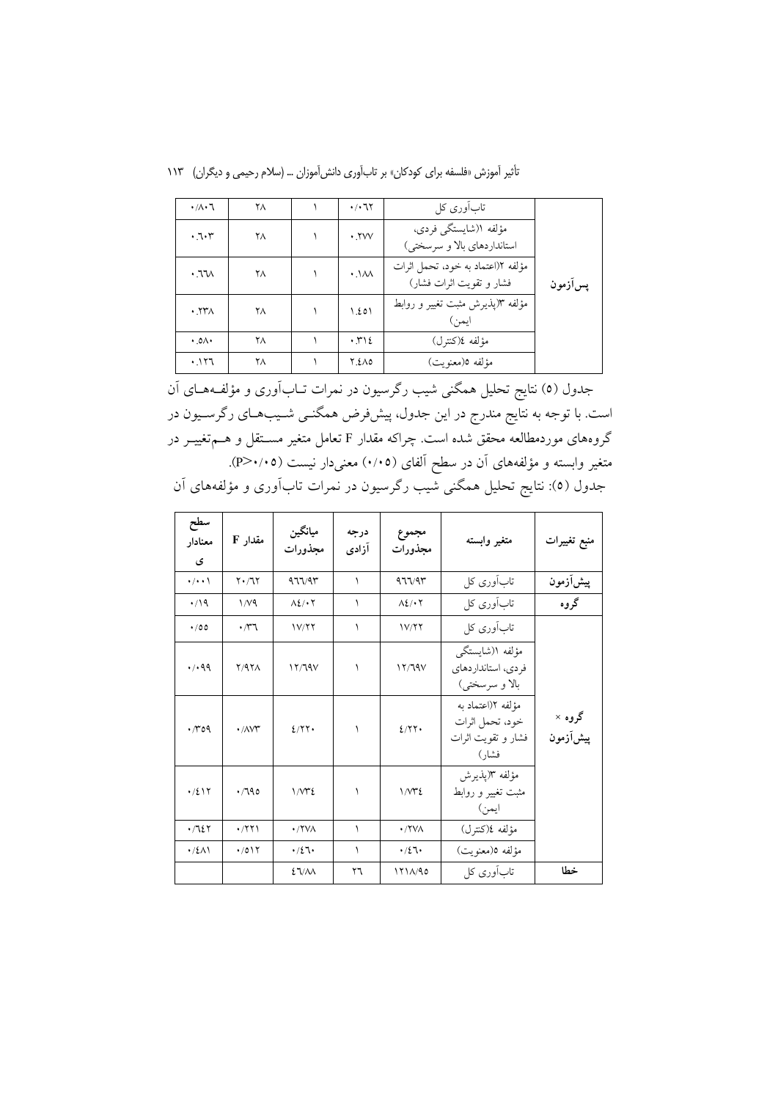|  | تأثیر آموزش «فلسفه برای کودکان» بر تابآوری دانش[موزان … (سلام رحیمی و دیگران)   ۱۱۳ |  |  |  |  |  |  |  |
|--|-------------------------------------------------------------------------------------|--|--|--|--|--|--|--|
|--|-------------------------------------------------------------------------------------|--|--|--|--|--|--|--|

| $\cdot/\lambda \cdot$ ٦                    | ۲۸ | $\cdot$ / $\cdot$ 7                      | تابآوری کل                                                    |          |
|--------------------------------------------|----|------------------------------------------|---------------------------------------------------------------|----------|
| .7.7                                       | ۲۸ | .7VV                                     | مؤلفه ١(شايستگى فردى،<br>استانداردهای بالا و سرسختی)          |          |
| $.77\wedge$                                | ۲۸ | $\cdot$ . $\lambda\lambda$               | مؤلفه ١(اعتماد به خود، تحمل اثرات<br>فشار و تقويت اثرات فشار) | يسرازمون |
| $\cdot$ $\uparrow\uparrow\uparrow\uparrow$ | ۲۸ | 1.201                                    | مؤلفه ٣(پذیرش مثبت تغییر و روابط<br>ايمن)                     |          |
| $.0\Lambda$                                | ۲۸ | $\cdot$ $\uparrow$ $\uparrow$ $\uparrow$ | مؤلفه ٤(كنترل)                                                |          |
| .177                                       | ۲۸ | <b>Y.200</b>                             | مؤلفه ٥(معنويت)                                               |          |

جدول (٥) نتایج تحلیل همگنی شیب رگرسیون در نمرات تــابآوری و مؤلفــههــای آن است. با توجه به نتایج مندرج در این جدول، پیشفرض همگنــی شــیبهــای رگرســیون در گروههای موردمطالعه محقق شده است. چراکه مقدار F تعامل متغیر مســتقل و هــمتغییــر در متغیر وابسته و مؤلفههای آن در سطح آلفای (۰/۰۵) معنیدار نیست (۰/۰۵). جدول (٥): نتایج تحلیل همگنی شیب رگرسیون در نمرات تابآوری و مؤلفههای آن

| سطح<br>معنادار<br>ى | مقدار F                          | ميانگين<br>مجذورات          | درجه<br>آزادی | مجموع<br>مجذورات                                                  | متغير وابسته                                                         | منبع تغييرات       |
|---------------------|----------------------------------|-----------------------------|---------------|-------------------------------------------------------------------|----------------------------------------------------------------------|--------------------|
| $\cdot$ / $\cdot$ \ | $Y \cdot T$                      | 977/97                      | ١             | 977/97                                                            | تابآوری کل                                                           | ييشآزمون           |
| $\cdot$ /19         | $1/\sqrt{9}$                     | $\Lambda$ 2/ $\cdot$ $\tau$ | ١             | $\Lambda$ 2/ $\cdot$ $\tau$                                       | تابآوری کل                                                           | گروه               |
| .700                | $\cdot \pi$                      | 1V/77                       | ١             | 1 V/Y                                                             | تابآوری کل                                                           |                    |
| 4.49                | Y/9Y                             | 17/79V                      | ١             | مؤلفه ا(شايستگى<br>فردي، استانداردهاي<br>17/19V<br>بالا و سرسختي) |                                                                      |                    |
| $\cdot \pi$ 09      | $\cdot$ / $\wedge$ $\vee$ $\sim$ | 2/77                        | ١             | 2/77                                                              | مؤلفه ١(اعتماد به<br>خود، تحمل اثرات<br>فشار و تقويت اثرات<br>فشار ) | گروه ×<br>ييشآزمون |
| $\cdot/2$ 17        | .790                             | $1/\gamma$                  | ١             | $1/M^{2}$                                                         | مؤلفه ٣(پذیرش<br>مثبت تغییر و روابط<br>ايمن)-                        |                    |
| .7127               | $\cdot$ /٢٢١                     | · / YVA                     | $\lambda$     | $\cdot$ /۲۷ $\wedge$                                              | مؤلفه ٤(كنترل)                                                       |                    |
| $\cdot$ /٤٨١        | $\cdot$ /0 \ $\Upsilon$          | .727.                       | $\lambda$     | $\cdot/27$                                                        | مؤلفه ٥(معنويت)                                                      |                    |
|                     |                                  | 27/M                        | ۲٦            | 171A/90                                                           | تابآوری کل                                                           | خطا                |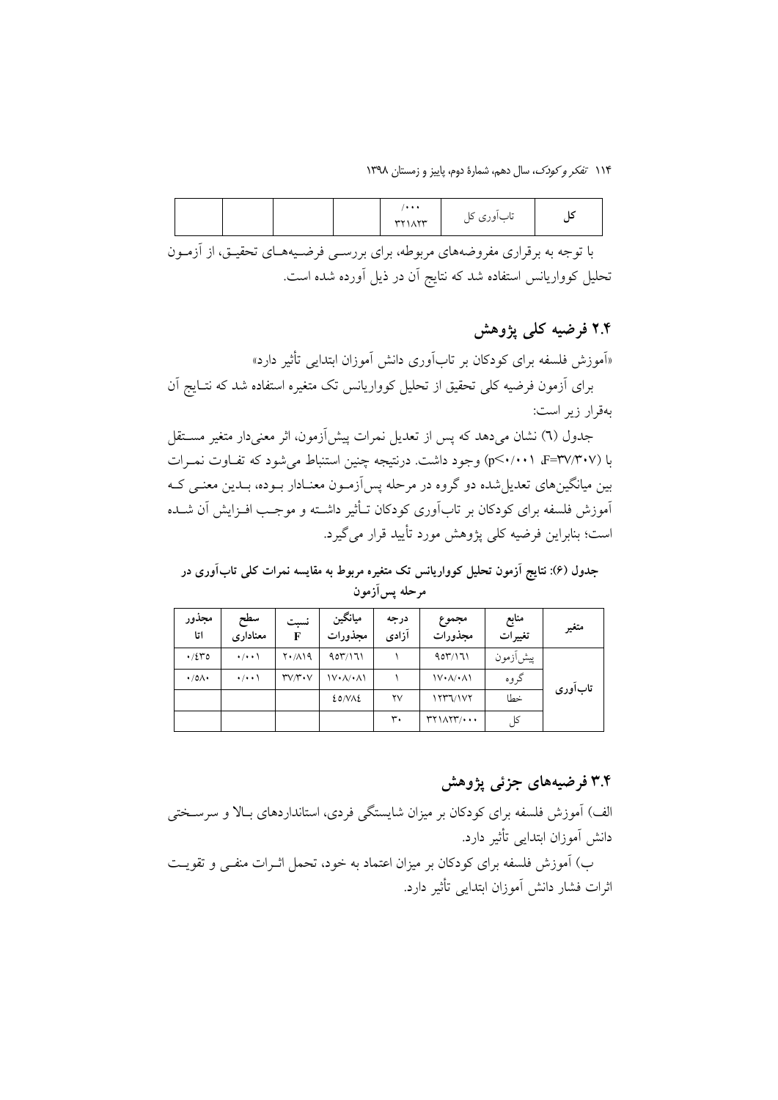|  | $\cdots$<br><b>TYIATT</b> | <br>ىاباورى تل |  |
|--|---------------------------|----------------|--|
|--|---------------------------|----------------|--|

با توجه به برقراری مفروضههای مربوطه، برای بررسـی فرضـیههـای تحقیـق، از آزمـون تحلیل کوواریانس استفاده شد که نتایج آن در ذیل آورده شده است.

### ۲.۴ فرضیه کلی یژوهش

«آموزش فلسفه برای کودکان بر تابآوری دانش آموزان ابتدایی تأثیر دارد»

برای آزمون فرضیه کلی تحقیق از تحلیل کوواریانس تک متغیره استفاده شد که نتـایج آن بهقرار زير است:

جدول (٦) نشان مي دهد كه پس از تعديل نمرات پيش آزمون، اثر معنى دار متغير مســتقل با (p<٠/٠٠١ F=٣٧/٣٠٧) وجود داشت. درنتيجه چنين استنباط مي شود كه تفـاوت نمـرات بین میانگینهای تعدیل شده دو گروه در مرحله پس آزمـون معنـادار بـوده، بـدین معنـی کـه اَموزش فلسفه برای کودکان بر تاباَوری کودکان تــأثیر داشــته و موجـب افــزایش اَن شــده است؛ بنابراین فرضیه کلی پژوهش مورد تأیید قرار می گیرد.

جدول (۶): نتایج آزمون تحلیل کوواریانس تک متغیره مربوط به مقایسه نمرات کلی تابآوری در مرحله يسlأزمون

| مجذور<br>اتا        | سطح<br>معناداري     | نسبت<br>F              | ميانگين<br>مجذورات                                | درجه<br>آزادى | مجموع<br>مجذورات                                                                                                                                                                                                                                                                                                                                                                                                                                                                           | منابع<br>تغييرات | متغير   |
|---------------------|---------------------|------------------------|---------------------------------------------------|---------------|--------------------------------------------------------------------------------------------------------------------------------------------------------------------------------------------------------------------------------------------------------------------------------------------------------------------------------------------------------------------------------------------------------------------------------------------------------------------------------------------|------------------|---------|
| $\cdot$ /2٣٥        | $\cdot$ / $\cdot$ \ | $Y \cdot / \Lambda$ 19 | 907/171                                           |               | 907/171                                                                                                                                                                                                                                                                                                                                                                                                                                                                                    | پیش زمون         |         |
| $\cdot$ /0/ $\cdot$ | $\cdot$ / $\cdot$ \ | $r_{V}/r_{V}$          | $\mathcal{N} \cdot \mathcal{N} \cdot \mathcal{N}$ |               | $\left(\sqrt{2} \cdot \sqrt{2} \cdot \sqrt{2} \cdot \sqrt{2} \cdot \sqrt{2} \cdot \sqrt{2} \cdot \sqrt{2} \cdot \sqrt{2} \cdot \sqrt{2} \cdot \sqrt{2} \cdot \sqrt{2} \cdot \sqrt{2} \cdot \sqrt{2} \cdot \sqrt{2} \cdot \sqrt{2} \cdot \sqrt{2} \cdot \sqrt{2} \cdot \sqrt{2} \cdot \sqrt{2} \cdot \sqrt{2} \cdot \sqrt{2} \cdot \sqrt{2} \cdot \sqrt{2} \cdot \sqrt{2} \cdot \sqrt{2} \cdot \sqrt{2} \cdot \sqrt{2} \cdot \sqrt{2} \cdot \sqrt{2} \cdot \sqrt{2} \cdot \sqrt{2} \cdot \$ | گروه             | تابآوري |
|                     |                     |                        | EONAE                                             | ۲۷            | 1777/107                                                                                                                                                                                                                                                                                                                                                                                                                                                                                   | خطا              |         |
|                     |                     |                        |                                                   | ٣.            | $\mathsf{r}\mathsf{r}\mathsf{1}\wedge\mathsf{r}\mathsf{r}\mathsf{1}\cdots$                                                                                                                                                                                                                                                                                                                                                                                                                 | کا               |         |

#### ۳.۴ فرضیههای جزئی پژوهش

الف) آموزش فلسفه برای کودکان بر میزان شایستگی فردی، استانداردهای بـالا و سرسـختی دانش آموزان ابتدایی تأثیر دارد. ب) آموزش فلسفه برای کودکان بر میزان اعتماد به خود، تحمل اثـرات منفـی و تقویـت اثرات فشار دانش آموزان ابتدایی تأثیر دارد.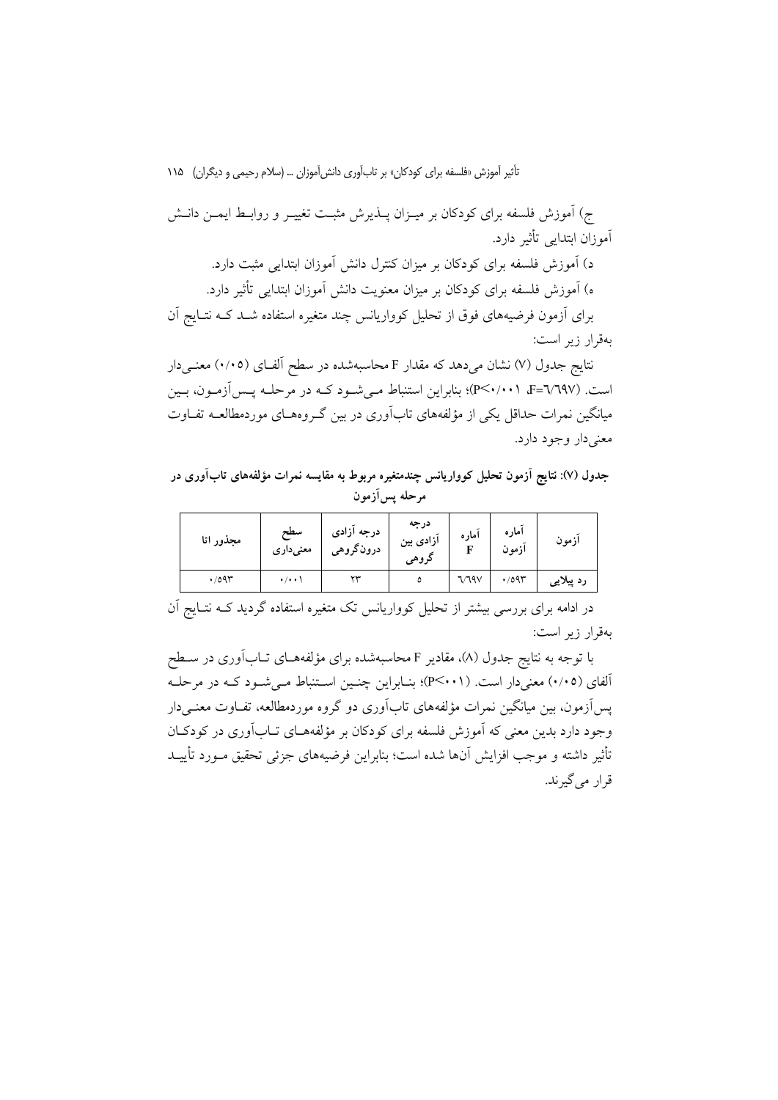ج) آموزش فلسفه برای کودکان بر میـزان پـــذیرش مثبــت تغییــر و روابــط ایمـــن دانــش آموزان ابتدابے تأثیر دارد.

د) آموزش فلسفه برای کودکان بر میزان کنترل دانش آموزان ابتدایی مثبت دارد. ه) آموزش فلسفه برای کودکان بر میزان معنویت دانش آموزان ابتدایی تأثیر دارد. برای آزمون فرضیههای فوق از تحلیل کوواریانس چند متغیره استفاده شـد کـه نتـایج آن بهقرار زیر است:

نتایج جدول (۷) نشان می دهد که مقدار F محاسبهشده در سطح الفـای (۰/۰۵) معنـی دار است. (F=V٦٩٧، P<٠/٠٠١)؛ بنابراين استنباط مـي شـود كـه در مرحلـه يـس[زمـون، بـين میانگین نمرات حداقل یکی از مؤلفههای تابآوری در بین گـروههـای موردمطالعــه تفــاوت معني دار وجود دارد.

جدول (۷): نتایج اَزمون تحلیل کوواریانس چندمتغیره مربوط به مقایسه نمرات مؤلفههای تابآوری در مرحله پس آزمون

| مجذور اتا    | سطح<br>معنىدارى    | درجه آزادی<br>درونگروهي | درجه<br>آزادی بین<br>كروهي | اماره | اماره<br>ازمون | ازمون     |
|--------------|--------------------|-------------------------|----------------------------|-------|----------------|-----------|
| $\cdot$ /095 | $\cdot/\cdot\cdot$ | ٣٣                      |                            | 7/79V | $\cdot$ /095   | رد پیلایی |

در ادامه برای بررسی بیشتر از تحلیل کوواریانس تک متغیره استفاده گردید کــه نتــایج اَن بەقرار زىر است:

با توجه به نتایج جدول (۸)، مقادیر F محاسبهشده برای مؤلفههــای تــابآوری در ســطح آلفای (۰/۰۵) معنیدار است. (P<۰۰۱)؛ بنـابراین چنـین اسـتنباط مـیشـود کـه در مرحلـه یس اَزمون، بین میانگین نمرات مؤلفههای تاباَوری دو گروه موردمطالعه، تفـاوت معنــی دار وجود دارد بدین معنی که اَموزش فلسفه برای کودکان بر مؤلفههــای تــاباَوری در کودکــان تأثير داشته و موجب افزايش آنها شده است؛ بنابراين فرضيههاى جزئى تحقيق مـورد تأييــد قرار مي گيرند.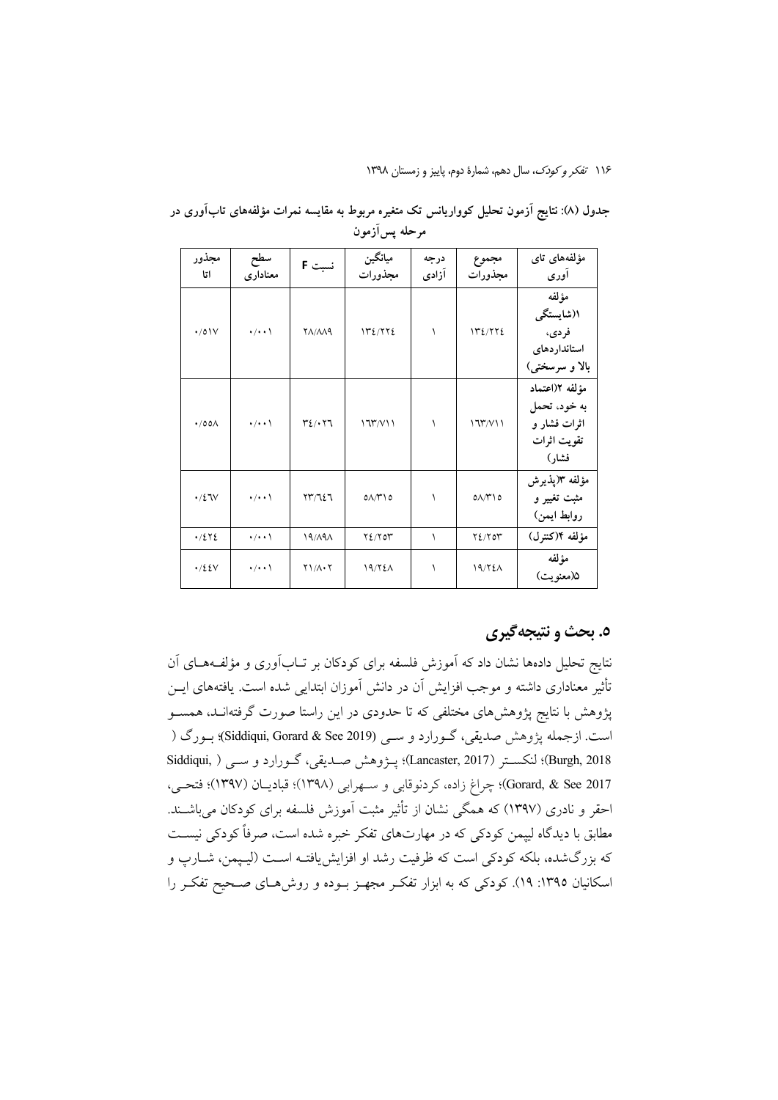| مجذور<br>اتا         | سطح<br>معناداري    | نسبت F                                           | ميانگين<br>مجذورات   | درجه<br>آزادی | مجموع<br>مجذورات        | مؤلفەهاي تاي<br>آوري                                                   |
|----------------------|--------------------|--------------------------------------------------|----------------------|---------------|-------------------------|------------------------------------------------------------------------|
| $\cdot$ /0 $\vee$    | $\cdot/\cdot\cdot$ | <b>YA/AA9</b>                                    | 172/772              | ١             | 172/772                 | مؤلفه<br>۱(شایستگی<br>فر دی،<br>استانداردهاى<br>بالا و سرسختی)         |
| $\cdot$ /00 $\wedge$ | $\cdot/\cdot\cdot$ | $\mathbf{r}_{\ell}$ . $\mathbf{r}_{\mathcal{A}}$ | 177/V11              | ١             | 177/V11                 | مؤلفه ٢(اعتماد<br>به خود، تحمل<br>اثرات فشار و<br>تقويت اثرات<br>فشار) |
| $\cdot$ /27 $V$      | $\cdot/\cdot\cdot$ | $\Upsilon \Upsilon / \Upsilon$                   | $0\Lambda/\tilde{C}$ | ١             | $0\Lambda/\Gamma$ ) $0$ | مؤلفه ٣(پذیرش<br>مثبت تغییر و<br>روابط ايمن)                           |
| .7272                | $\cdot$ / $\cdot$  | 19/A9A                                           | Y2/Y                 | ١             | Y2/Y                    | مؤلفه ١٤(كنترل)                                                        |
| $\cdot$ /٤٤٧         | $\cdot/\cdot\cdot$ | $Y1/\Lambda \cdot Y$                             | 19/72 <sub>A</sub>   | ١             | 19/721                  | مؤلفه<br>۵(معنویت)                                                     |

جدول (۸): نتایج آزمون تحلیل کوواریانس تک متغیره مربوط به مقایسه نمرات مؤلفههای تابآوری در مرحله پسآزمون

#### ٥. بحث و نتيجه گيري

نتایج تحلیل دادهها نشان داد که آموزش فلسفه برای کودکان بر تــابآوری و مؤلفــههــای آن تأثیر معناداری داشته و موجب افزایش آن در دانش آموزان ابتدایی شده است. یافتههای ایــن یژوهش با نتایج یژوهش های مختلفی که تا حدودی در این راستا صورت گرفتهانـد، همســو است. ازجمله پژوهش صدیقی، گــورارد و ســی (Siddiqui, Gorard & See 2019) بــورگ ( Burgh, 2018)؛ لنكستر (Lancaster, 2017)؛ يـژوهش صـديقى، گـورارد و ســي ( Siddiqui, Gorard, & See 2017)؛ چراغ زاده، کردنوقابی و ســهرابی (۱۳۹۸)؛ قبادیــان (۱۳۹۷)؛ فتحــی، احقر و نادری (۱۳۹۷) که همگی نشان از تأثیر مثبت آموزش فلسفه برای کودکان میباشــند. مطابق با دیدگاه لیپمن کودکی که در مهارتهای تفکر خبره شده است، صرفاً کودکی نیسـت که بزرگشده، بلکه کودکی است که ظرفیت رشد او افزایش یافتـه اسـت (لیـپمن، شــارپ و اسکانیان ۱۳۹۵: ۱۹). کودکی که به ابزار تفکـر مجهـز بـوده و روشهـای صـحیح تفکـر را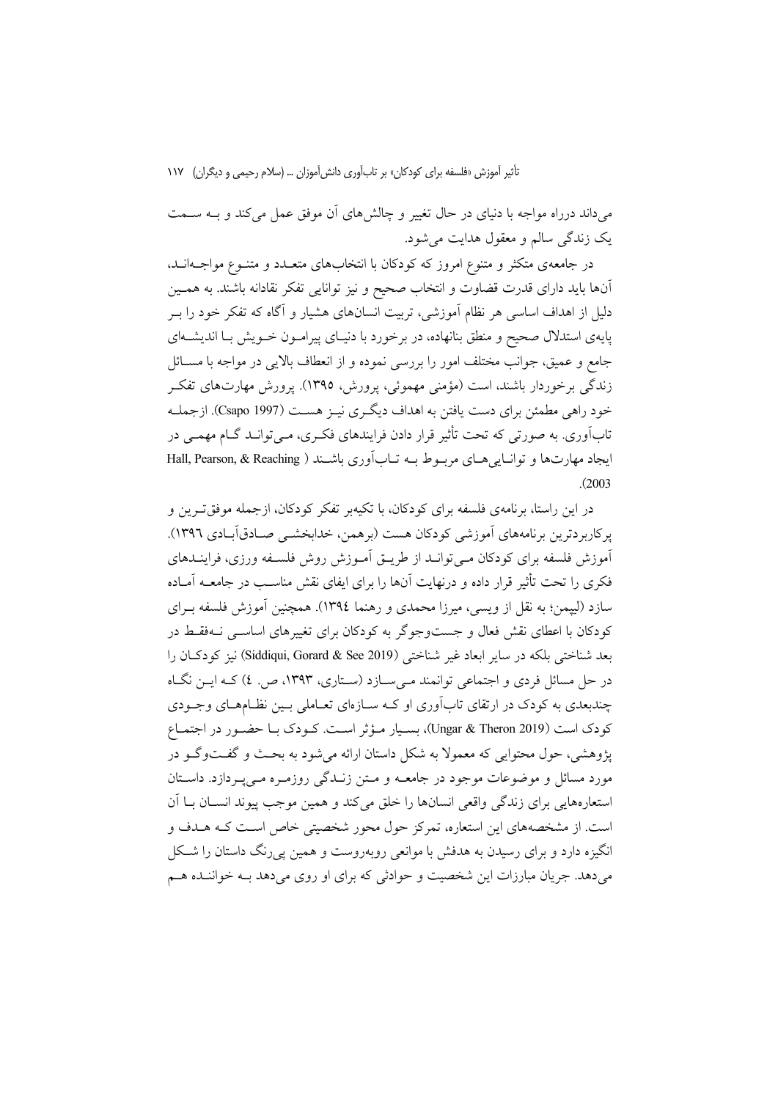میداند درراه مواجه با دنیای در حال تغییر و چالشهای آن موفق عمل می کند و بـه سـمت يک زندگي سالم و معقول هدايت مي شود.

در جامعهی متکثر و متنوع امروز که کودکان با انتخابهای متعــدد و متنــوع مواجــهانــد، آنها باید دارای قدرت قضاوت و انتخاب صحیح و نیز توانایی تفکر نقادانه باشند. به همـین دلیل از اهداف اساسی هر نظام آموزشی، تربیت انسانهای هشیار و آگاه که تفکر خود را بـر پایهی استدلال صحیح و منطق بنانهاده، در برخورد با دنیـای پیرامـون خـویش بـا اندیشـهای جامع و عميق، جوانب مختلف امور را بررسي نموده و از انعطاف بالايي در مواجه با مســائل زندگی برخوردار باشند، است (مؤمنی مهموئی، پرورش، ۱۳۹۵). پرورش مهارتهای تفک خود راهی مطمئن برای دست یافتن به اهداف دیگری نیـز هسـت (Csapo 1997). ازجملـه تابآوری. به صورتی که تحت تأثیر قرار دادن فرایندهای فکـری، مـی توانـد گــام مهمــی در ایجاد مهارتها و توانیا هرای مربوط به تبارآوری باشند ( Hall, Pearson, & Reaching  $(2003)$ 

در این راستا، برنامهی فلسفه برای کودکان، با تکیهبر تفکر کودکان، ازجمله موفق تـرین و پرکاربردترین برنامههای آموزشی کودکان هست (برهمن، خدابخشــی صـادقآبـادی ١٣٩٦). آموزش فلسفه برای کودکان مـیتوانـد از طریــق آمـوزش روش فلسـفه ورزی، فراینــدهای فکری را تحت تأثیر قرار داده و درنهایت آنها را برای ایفای نقش مناسب در جامعــه آمــاده سازد (لپیمن؛ به نقل از ویسی، میرزا محمدی و رهنما ١٣٩٤). همچنین آموزش فلسفه بـرای کودکان با اعطای نقش فعال و جستوجوگر به کودکان برای تغییرهای اساســی نــهفقـط در بعد شناختی بلکه در سایر ابعاد غیر شناختی (Siddiqui, Gorard & See 2019) نیز کودکـان را در حل مسائل فردی و اجتماعی توانمند مـیسـازد (سـتاری، ۱۳۹۳، ص. ٤) کـه ایــن نگـاه چندبعدی به کودک در ارتقای تابآوری او کـه سـازهای تعـاملی بـین نظـامهـای وجـودی كودك است (Ungar & Theron 2019)، بسيار مؤثر است. كـودك بـا حضـور در اجتمـاع پژوهشی، حول محتوایی که معمولاً به شکل داستان ارائه می شود به بحـث و گفـتوگـو در مورد مسائل و موضوعات موجود در جامعــه و مــتن زنــدگی روزمــره مــی.یــردازد. داســتان استعارههايي براي زندگي واقعي انسانها را خلق مي كند و همين موجب پيوند انســان بــا آن است. از مشخصههای این استعاره، تمرکز حول محور شخصیتی خاص است کـه هــدف و انگیزه دارد و برای رسیدن به هدفش با موانعی روبهروست و همین پی رنگ داستان را شکل می دهد. جریان مبارزات این شخصیت و حوادثی که برای او روی می دهد بـه خواننـده هـم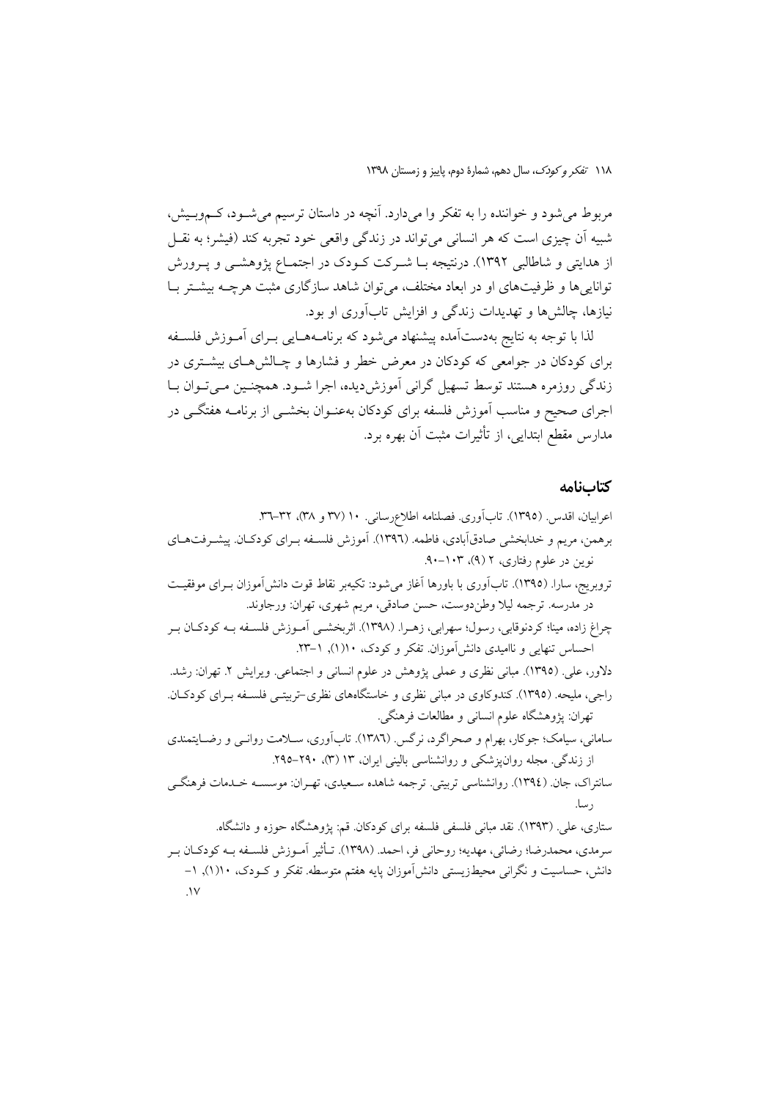مربوط می شود و خواننده را به تفکر وا میدارد. آنچه در داستان ترسیم می شـود، کـموبـیش، شبیه اَن چیزی است که هر انسانی می تواند در زندگی واقعی خود تجربه کند (فیشر؛ به نقــل از هدایتی و شاطالبی ۱۳۹۲). درنتیجه بـا شـرکت کـودک در اجتمـاع پژوهشـی و پـرورش توانایی ها و ظرفیتهای او در ابعاد مختلف، می توان شاهد سازگاری مثبت هرچــه بیشــتر بــا نیازها، چالشها و تهدیدات زندگی و افزایش تابآوری او بود.

لذا با توجه به نتایج بهدستآمده پیشنهاد می شود که برنامـههـایی بـرای آمـوزش فلسـفه برای کودکان در جوامعی که کودکان در معرض خطر و فشارها و چـالشهـای بیشــتری در زندگی روزمره هستند توسط تسهیل گرانی أموزش دیده، اجرا شــود. همچنــین مــی تــوان بــا اجرای صحیح و مناسب آموزش فلسفه برای کودکان بهعنـوان بخشــی از برنامــه هفتگــی در مدارس مقطع ابتدایی، از تأثیرات مثبت آن بهره برد.

#### كتابنامه

اعرابيان، اقدس. (١٣٩٥). تابأوري. فصلنامه اطلاعرساني. ١٠ (٣٧ و ٣٨)، ٣٦–٣٦. برهمن، مریم و خدابخشی صادقآبادی، فاطمه. (۱۳۹٦). آموزش فلسـفه بـرای کودکـان. پیشـرفتهـای نوین در علوم رفتاری، ۲ (۹)، ۰-۹۰-۹۰. تروبريج، ساراً. (١٣٩٥). تابآوري با باورها آغاز مي شود: تكيهبر نقاط قوت دانش[موزان بــراي موفقيــت در مدرسه. ترجمه ليلا وطندوست، حسن صادقي، مريم شهري، تهران: ورجاوند. چراغ زاده، مینا؛ کردنوقابی، رسول؛ سهرابی، زهـرا. (۱۳۹۸). اثربخشــی آمـوزش فلســفه بــه کودکــان بــر احساس تنهایی و ناامیدی دانش آموزان. تفکر و کودک، ١٠(١), ١-٢٣. دلاور، علي. (١٣٩٥). مباني نظري و عملي يژوهش در علوم انساني و اجتماعي. ويرايش ٢. تهران: رشد. راجی، ملیحه. (۱۳۹۵). کندوکاوی در مبانی نظری و خاستگاههای نظری-تربیتی فلسـفه بـرای کودکـان. تهران: پژوهشگاه علوم انسانی و مطالعات فرهنگی. سامانی، سیامک؛ جوکار، بھرام و صحراگرد، نرگس. (١٣٨٦). تابآوری، ســلامت روانــي و رضــايتمندي از زندگی. مجله روان پزشکی و روانشناسی بالینی ایران، ۱۳ (۳)، ۲۹۰–۲۹۵. سانتراک، جان (١٣٩٤). روانشناسی تربیتی. ترجمه شاهده سـعیدی، تهـران: موسسـه خـدمات فرهنگــی ر سا. ستاری، علی. (۱۳۹۳). نقد مبانی فلسفی فلسفه برای کودکان. قم: پژوهشگاه حوزه و دانشگاه. سرمدي، محمدرضا؛ رضائي، مهديه؛ روحاني فر، احمد. (١٣٩٨). تـأثير آمـوزش فلسـفه بـه كودكـان بـر دانش، حساسیت و نگرانی محیطزیستی دانشآموزان پایه هفتم متوسطه. تفکر و کـودک، ۱۰(۱), ۱–  $\mathcal{N}$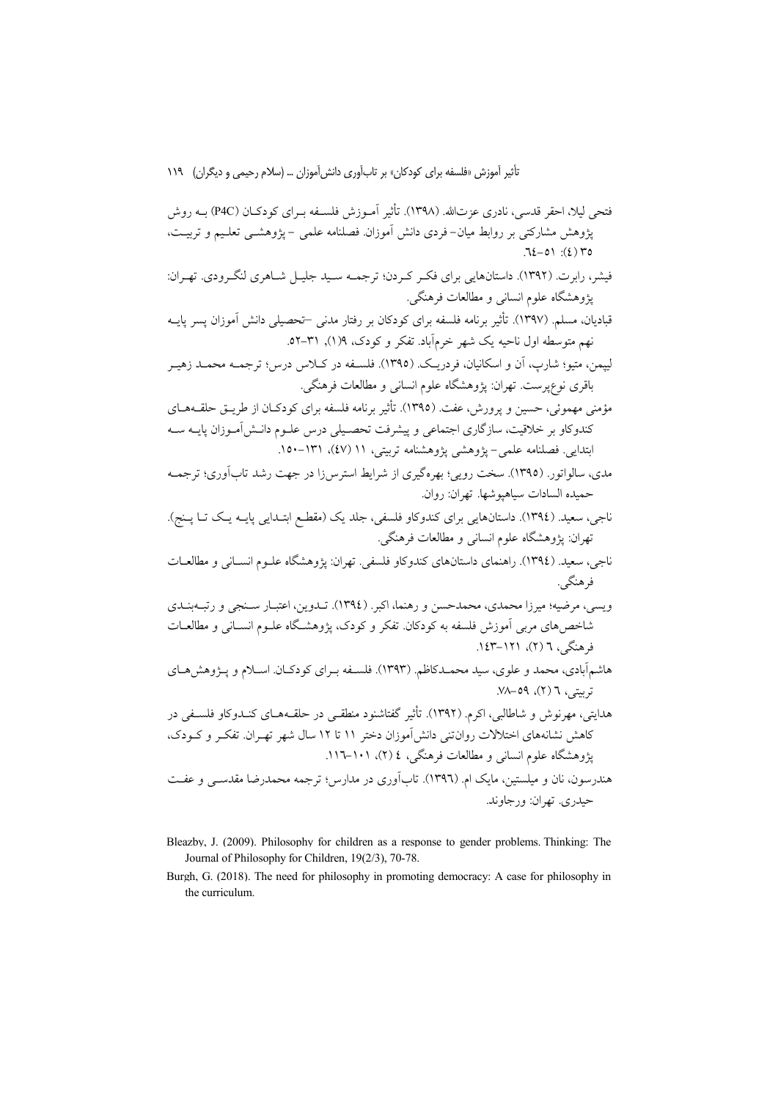پژوهشگاه علوم انسانی و مطالعات فرهنکی، ۱۷تار ۱۰۱–۱۱۰.<br>هندرسون، نان و میلستین، مایک ام. (۱۳۹٦). تابآوری در مدارس؛ ترجمه محمدرضا مقدســی و عفــت حيدري. تهران: ورجاوند.

- Bleazby, J. (2009). Philosophy for children as a response to gender problems. Thinking: The Journal of Philosophy for Children, 19(2/3), 70-78.
- Burgh, G. (2018). The need for philosophy in promoting democracy: A case for philosophy in the curriculum.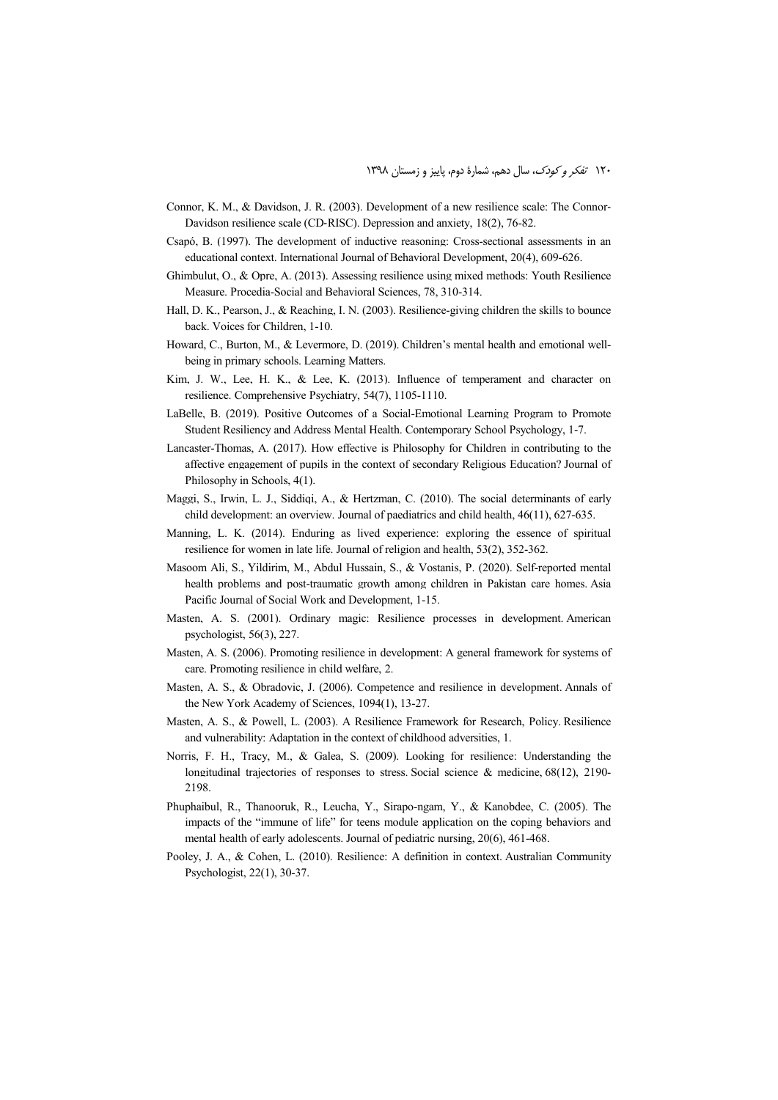- Connor, K. M., & Davidson, J. R. (2003). Development of a new resilience scale: The Connor-Davidson resilience scale (CD‐RISC). Depression and anxiety, 18(2), 76-82.
- Csapó, B. (1997). The development of inductive reasoning: Cross-sectional assessments in an educational context. International Journal of Behavioral Development, 20(4), 609-626.
- Ghimbulut, O., & Opre, A. (2013). Assessing resilience using mixed methods: Youth Resilience Measure. Procedia-Social and Behavioral Sciences, 78, 310-314.
- Hall, D. K., Pearson, J., & Reaching, I. N. (2003). Resilience-giving children the skills to bounce back. Voices for Children, 1-10.
- Howard, C., Burton, M., & Levermore, D. (2019). Children's mental health and emotional wellbeing in primary schools. Learning Matters.
- Kim, J. W., Lee, H. K., & Lee, K. (2013). Influence of temperament and character on resilience. Comprehensive Psychiatry, 54(7), 1105-1110.
- LaBelle, B. (2019). Positive Outcomes of a Social-Emotional Learning Program to Promote Student Resiliency and Address Mental Health. Contemporary School Psychology, 1-7.
- Lancaster-Thomas, A. (2017). How effective is Philosophy for Children in contributing to the affective engagement of pupils in the context of secondary Religious Education? Journal of Philosophy in Schools, 4(1).
- Maggi, S., Irwin, L. J., Siddiqi, A., & Hertzman, C. (2010). The social determinants of early child development: an overview. Journal of paediatrics and child health, 46(11), 627-635.
- Manning, L. K. (2014). Enduring as lived experience: exploring the essence of spiritual resilience for women in late life. Journal of religion and health, 53(2), 352-362.
- Masoom Ali, S., Yildirim, M., Abdul Hussain, S., & Vostanis, P. (2020). Self-reported mental health problems and post-traumatic growth among children in Pakistan care homes. Asia Pacific Journal of Social Work and Development, 1-15.
- Masten, A. S. (2001). Ordinary magic: Resilience processes in development. American psychologist, 56(3), 227.
- Masten, A. S. (2006). Promoting resilience in development: A general framework for systems of care. Promoting resilience in child welfare, 2.
- Masten, A. S., & Obradovic, J. (2006). Competence and resilience in development. Annals of the New York Academy of Sciences, 1094(1), 13-27.
- Masten, A. S., & Powell, L. (2003). A Resilience Framework for Research, Policy. Resilience and vulnerability: Adaptation in the context of childhood adversities, 1.
- Norris, F. H., Tracy, M., & Galea, S. (2009). Looking for resilience: Understanding the longitudinal trajectories of responses to stress. Social science & medicine, 68(12), 2190-2198.
- Phuphaibul, R., Thanooruk, R., Leucha, Y., Sirapo-ngam, Y., & Kanobdee, C. (2005). The impacts of the "immune of life" for teens module application on the coping behaviors and mental health of early adolescents. Journal of pediatric nursing, 20(6), 461-468.
- Pooley, J. A., & Cohen, L. (2010). Resilience: A definition in context. Australian Community Psychologist, 22(1), 30-37.